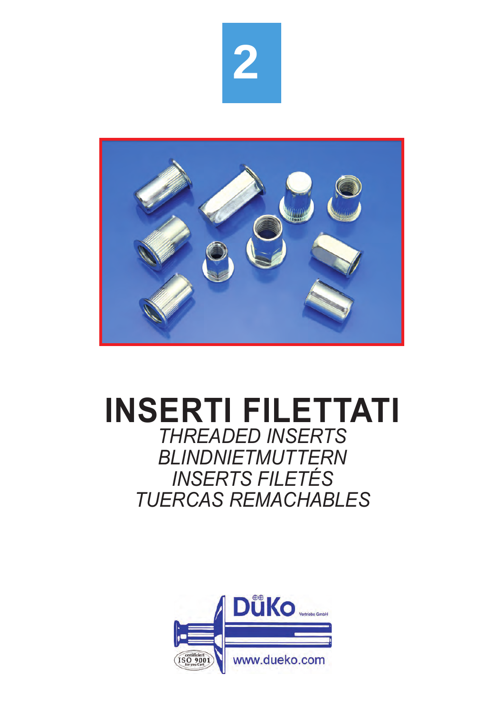



# **INSERTI FILETTATI** *THREADED INSERTS*

*BLINDNIETMUTTERN INSERTS FILETÉS TUERCAS REMACHABLES*

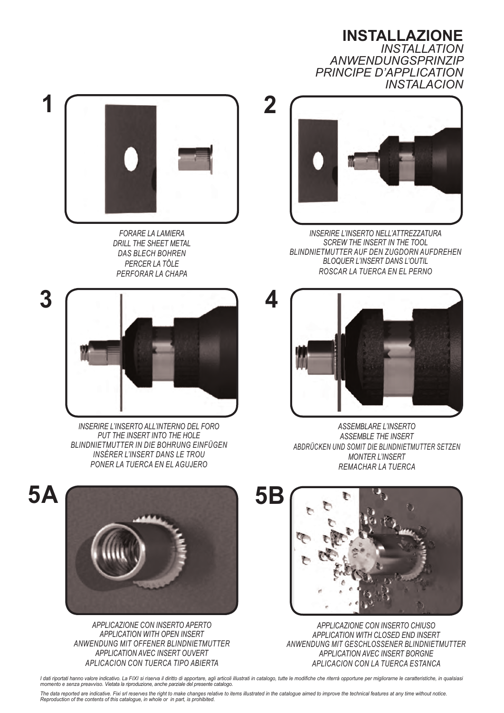**INSTALLAZIONE** *INSTALLATION ANWENDUNGSPRINZIP PRINCIPE D'APPLICATION INSTALACION*



*FORARE LA LAMIERA DRILL THE SHEET METAL DAS BLECH BOHREN PERCER LA TÔLE PERFORAR LA CHAPA*



*INSERIRE L'INSERTO ALL'INTERNO DEL FORO PUT THE INSERT INTO THE HOLE BLINDNIETMUTTER IN DIE BOHRUNG EINFÜGEN INSÉRER L'INSERT DANS LE TROU PONER LA TUERCA EN EL AGUJERO*



*INSERIRE L'INSERTO NELL'ATTREZZATURA SCREW THE INSERT IN THE TOOL BLINDNIETMUTTER AUF DEN ZUGDORN AUFDREHEN BLOQUER L'INSERT DANS L'OUTIL ROSCAR LA TUERCA EN EL PERNO*



*ASSEMBLARE L'INSERTO ASSEMBLE THE INSERT ABDRÜCKEN UND SOMIT DIE BLINDNIETMUTTER SETZEN MONTER L'INSERT REMACHAR LA TUERCA*



*APPLICAZIONE CON INSERTO APERTO APPLICATION WITH OPEN INSERT ANWENDUNG MIT OFFENER BLINDNIETMUTTER APPLICATION AVEC INSERT OUVERT APLICACION CON TUERCA TIPO ABIERTA*



*APPLICAZIONE CON INSERTO CHIUSO APPLICATION WITH CLOSED END INSERT ANWENDUNG MIT GESCHLOSSENER BLINDNIETMUTTER APPLICATION AVEC INSERT BORGNE APLICACION CON LA TUERCA ESTANCA*

I dati riportati hanno valore indicativo. La FIXI si riserva il diritto di apportare, agli articoli illustrati in catalogo, tutte le modifiche che riterrà opportune per migliorarne le caratteristiche, in qualsiasi *momento e senza preavviso. Vietata la riproduzione, anche parziale del presente catalogo.*

The data reported are indicative. Fixi srl reserves the right to make changes relative to items illustrated in the catalogue aimed to improve the technical features at any time without notice. *Reproduction of the contents of this catalogue, in whole or in part, is prohibited.*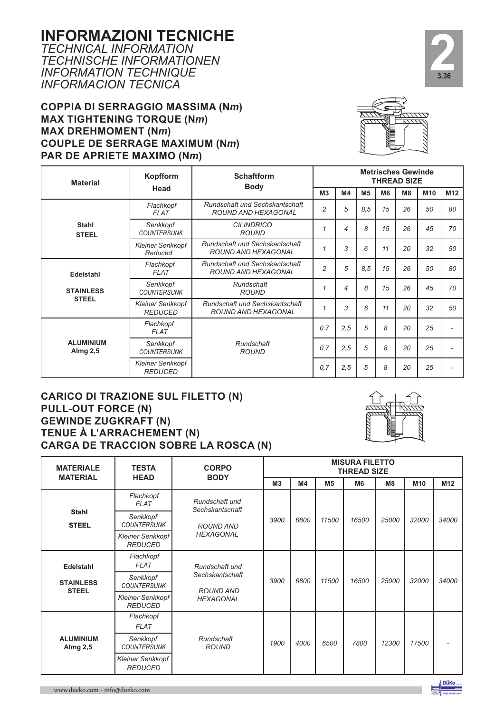#### **INFORMAZIONI TECNICHE**

*TECHNICAL INFORMATION TECHNISCHE INFORMATIONEN INFORMATION TECHNIQUE INFORMACION TECNICA*

#### **COPPIA DI SERRAGGIO MASSIMA (N***m***) MAX TIGHTENING TORQUE (N***m***) MAX DREHMOMENT (N***m***) COUPLE DE SERRAGE MAXIMUM (N***m***) PAR DE APRIETE MAXIMO (N***m***)**



**2**<br>3.36 **3.36**

| <b>Material</b>                           | Kopfform                                                                                                  | <b>Schaftform</b><br><b>Body</b>                                    | <b>Metrisches Gewinde</b><br><b>THREAD SIZE</b> |     |     |                |                |     |                 |  |  |
|-------------------------------------------|-----------------------------------------------------------------------------------------------------------|---------------------------------------------------------------------|-------------------------------------------------|-----|-----|----------------|----------------|-----|-----------------|--|--|
|                                           | Head                                                                                                      |                                                                     | M3                                              | M4  | M5  | M <sub>6</sub> | M <sub>8</sub> | M10 | M <sub>12</sub> |  |  |
|                                           | Flachkopf<br><b>FLAT</b>                                                                                  | Rundschaft und Sechskantschaft<br>ROUND AND HEXAGONAL               | $\overline{2}$                                  | 5   | 8.5 | 15             | 26             | 50  | 80              |  |  |
| <b>Stahl</b><br><b>STEEL</b>              | Senkkopf<br><b>COUNTERSUNK</b>                                                                            | <b>CILINDRICO</b><br><b>ROUND</b>                                   | 1                                               | 4   | 8   | 15             | 26             | 45  | 70              |  |  |
|                                           | <b>Rundschaft und Sechskantschaft</b><br><b>Kleiner Senkkopf</b><br><b>ROUND AND HEXAGONAL</b><br>Reduced |                                                                     |                                                 |     |     |                | 20             | 32  | 50              |  |  |
| <b>Edelstahl</b>                          | Flachkopf<br><b>FLAT</b>                                                                                  | <b>Rundschaft und Sechskantschaft</b><br><b>ROUND AND HEXAGONAL</b> | $\overline{2}$                                  | 5   | 8,5 | 15             | 26             | 50  | 80              |  |  |
| <b>STAINLESS</b>                          | Senkkopf<br>Rundschaft<br><b>COUNTERSUNK</b><br><b>ROUND</b>                                              |                                                                     |                                                 |     | 8   | 15             | 26             | 45  | 70              |  |  |
| <b>STEEL</b>                              | <b>Kleiner Senkkopf</b><br><b>REDUCED</b>                                                                 | Rundschaft und Sechskantschaft<br>ROUND AND HEXAGONAL               | 1                                               | 3   | 6   | 11             | 20             | 32  | 50              |  |  |
|                                           | Flachkopf<br><b>FLAT</b>                                                                                  |                                                                     | 0,7                                             | 2,5 | 5   | 8              | 20             | 25  |                 |  |  |
| <b>ALUMINIUM</b><br>Almg 2,5              | Rundschaft<br>Senkkopf<br><b>COUNTERSUNK</b><br><b>ROUND</b>                                              |                                                                     | 0,7                                             | 2,5 | 5   | 8              | 20             | 25  |                 |  |  |
| <b>Kleiner Senkkopf</b><br><b>REDUCED</b> |                                                                                                           |                                                                     |                                                 |     | 5   | 8              | 20             | 25  |                 |  |  |

#### **CARICO DI TRAZIONE SUL FILETTO (N) PULL-OUT FORCE (N) GEWINDE ZUGKRAFT (N) TENUE À L'ARRACHEMENT (N) CARGA DE TRACCION SOBRE LA ROSCA (N)**



| <b>MATERIALE</b><br><b>MATERIAL</b> | <b>TESTA</b><br><b>HEAD</b>               | <b>CORPO</b><br><b>BODY</b>         | <b>MISURA FILETTO</b><br><b>THREAD SIZE</b> |      |                |                |                |       |                 |  |  |  |
|-------------------------------------|-------------------------------------------|-------------------------------------|---------------------------------------------|------|----------------|----------------|----------------|-------|-----------------|--|--|--|
|                                     |                                           |                                     | M3                                          | M4   | M <sub>5</sub> | M <sub>6</sub> | M <sub>8</sub> | M10   | M <sub>12</sub> |  |  |  |
|                                     | Flachkopf<br><b>FLAT</b>                  | Rundschaft und<br>Sechskantschaft   |                                             |      |                |                |                |       |                 |  |  |  |
| <b>Stahl</b><br><b>STEEL</b>        | Senkkopf<br><b>COUNTERSUNK</b>            | ROUND AND<br><b>HEXAGONAL</b>       | 3900                                        | 6800 | 11500          | 16500          | 25000          | 32000 | 34000           |  |  |  |
|                                     | <b>Kleiner Senkkopf</b><br><b>REDUCED</b> |                                     |                                             |      |                |                |                |       |                 |  |  |  |
| <b>Edelstahl</b>                    | Flachkopf<br><b>FLAT</b>                  | Rundschaft und                      |                                             |      |                |                |                |       |                 |  |  |  |
| <b>STAINLESS</b><br><b>STEEL</b>    | Senkkopf<br><b>COUNTERSUNK</b>            | Sechskantschaft<br><b>ROUND AND</b> | 3900                                        | 6800 | 11500          | 16500          | 25000          | 32000 | 34000           |  |  |  |
|                                     | <b>Kleiner Senkkopf</b><br><b>REDUCED</b> | <b>HEXAGONAL</b>                    |                                             |      |                |                |                |       |                 |  |  |  |
|                                     | Flachkopf<br><b>FLAT</b>                  |                                     |                                             |      |                |                |                |       |                 |  |  |  |
| <b>ALUMINIUM</b><br>Almg 2,5        | Senkkopf<br><b>COUNTERSUNK</b>            | Rundschaft<br><b>ROUND</b>          | 1900                                        | 4000 | 6500           | 7800           | 12300          | 17500 |                 |  |  |  |
|                                     | <b>Kleiner Senkkopf</b><br><b>REDUCED</b> |                                     |                                             |      |                |                |                |       |                 |  |  |  |

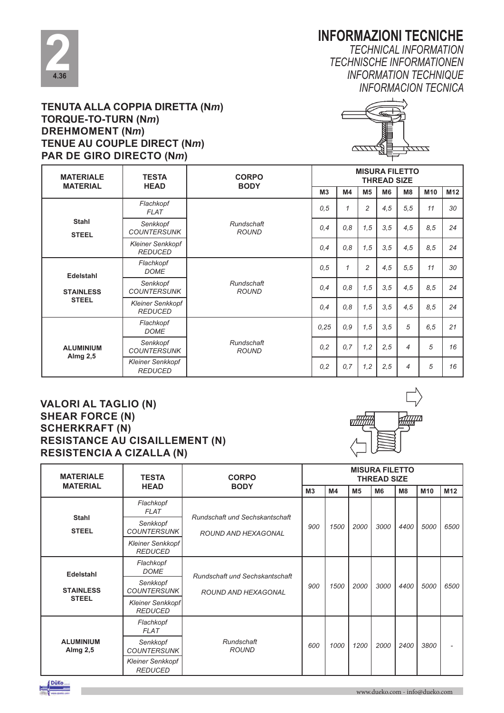

#### **INFORMAZIONI TECNICHE**

*TECHNICAL INFORMATION TECHNISCHE INFORMATIONEN INFORMATION TECHNIQUE INFORMACION TECNICA*

#### **TENUTA ALLA COPPIA DIRETTA (N***m***) TORQUE-TO-TURN (N***m***) DREHMOMENT (N***m***) TENUE AU COUPLE DIRECT (N***m***) PAR DE GIRO DIRECTO (N***m***)**



| <b>MATERIALE</b><br><b>MATERIAL</b> | <b>TESTA</b><br><b>HEAD</b>               | <b>CORPO</b><br><b>BODY</b> |                | <b>MISURA FILETTO</b><br><b>THREAD SIZE</b> |                |                |      |      |                 |  |  |
|-------------------------------------|-------------------------------------------|-----------------------------|----------------|---------------------------------------------|----------------|----------------|------|------|-----------------|--|--|
|                                     |                                           |                             | M <sub>3</sub> | M4                                          | M <sub>5</sub> | M <sub>6</sub> | M8   | M10  | M <sub>12</sub> |  |  |
|                                     | Flachkopf<br><b>FLAT</b>                  |                             | 0.5            | $\mathcal I$                                | $\overline{c}$ | 4,5            | 5.5  | 11   | 30              |  |  |
| <b>Stahl</b><br><b>STEEL</b>        | Senkkopf<br><b>COUNTERSUNK</b>            | Rundschaft<br><b>ROUND</b>  | 0,4            | 0,8                                         | 1,5            | 3,5            | 4,5  | 8,5  | 24              |  |  |
|                                     | <b>Kleiner Senkkopf</b><br><b>REDUCED</b> |                             | 0,4            | 0,8                                         | 1,5            | 3, 5           | 4,5  | 8,5  | 24              |  |  |
| <b>Edelstahl</b>                    | Flachkopf<br><b>DOME</b>                  |                             | 0, 5           | $\mathcal I$                                | $\overline{c}$ | 4,5            | 5, 5 | 11   | 30              |  |  |
| <b>STAINLESS</b>                    | Senkkopf<br><b>COUNTERSUNK</b>            | Rundschaft<br><b>ROUND</b>  | 0,4            | 0,8                                         | 1,5            | 3, 5           | 4,5  | 8,5  | 24              |  |  |
| <b>STEEL</b>                        | <b>Kleiner Senkkopf</b><br><b>REDUCED</b> |                             | 0,4            | 0,8                                         | 1,5            | 3, 5           | 4,5  | 8,5  | 24              |  |  |
|                                     | Flachkopf<br><b>DOME</b>                  |                             | 0,25           | 0,9                                         | 1,5            | 3, 5           | 5    | 6, 5 | 21              |  |  |
| <b>ALUMINIUM</b><br>Almg 2,5        | Senkkopf<br><b>COUNTERSUNK</b>            | Rundschaft<br><b>ROUND</b>  | 0,2            | 0,7                                         | 1,2            | 2,5            | 4    | 5    | 16              |  |  |
|                                     | <b>Kleiner Senkkopf</b><br><b>REDUCED</b> |                             | 0,2            | 0,7                                         | 1,2            | 2,5            | 4    | 5    | 16              |  |  |

#### **VALORI AL TAGLIO (N) SHEAR FORCE (N) SCHERKRAFT (N) RESISTANCE AU CISAILLEMENT (N) RESISTENCIA A CIZALLA (N)**



| <b>MATERIALE</b>                                               | <b>TESTA</b>                              | <b>CORPO</b>                                 | <b>MISURA FILETTO</b><br><b>THREAD SIZE</b> |      |      |                |      |      |                 |  |  |
|----------------------------------------------------------------|-------------------------------------------|----------------------------------------------|---------------------------------------------|------|------|----------------|------|------|-----------------|--|--|
| <b>MATERIAL</b>                                                | <b>HEAD</b>                               | <b>BODY</b>                                  | M3                                          | M4   | M5   | M <sub>6</sub> | M8   | M10  | M <sub>12</sub> |  |  |
|                                                                | Flachkopf<br><b>FLAT</b>                  | Rundschaft und Sechskantschaft               |                                             |      |      |                |      |      |                 |  |  |
| <b>Stahl</b><br><b>STEEL</b>                                   | Senkkopf<br><b>COUNTERSUNK</b>            | <b>ROUND AND HEXAGONAL</b><br><b>REDUCED</b> | 900                                         | 1500 | 2000 | 3000           | 4400 | 5000 | 6500            |  |  |
|                                                                | <b>Kleiner Senkkopf</b>                   |                                              |                                             |      |      |                |      |      |                 |  |  |
| Edelstahl                                                      | Flachkopf<br><b>DOME</b>                  | Rundschaft und Sechskantschaft               |                                             |      |      |                |      |      |                 |  |  |
| <b>STAINLESS</b>                                               | Senkkopf<br><b>COUNTERSUNK</b>            | ROUND AND HEXAGONAL                          | 900                                         | 1500 | 2000 | 3000           | 4400 | 5000 | 6500            |  |  |
| <b>STEEL</b>                                                   | Kleiner Senkkopf<br><b>REDUCED</b>        |                                              |                                             |      |      |                |      |      |                 |  |  |
|                                                                | Flachkopf<br><b>FLAT</b>                  |                                              |                                             |      |      |                |      |      |                 |  |  |
| <b>ALUMINIUM</b><br>Senkkopf<br>Almg 2,5<br><b>COUNTERSUNK</b> |                                           | Rundschaft<br><b>ROUND</b>                   | 600                                         | 1000 | 1200 | 2000           | 2400 | 3800 |                 |  |  |
|                                                                | <b>Kleiner Senkkopf</b><br><b>REDUCED</b> |                                              |                                             |      |      |                |      |      |                 |  |  |

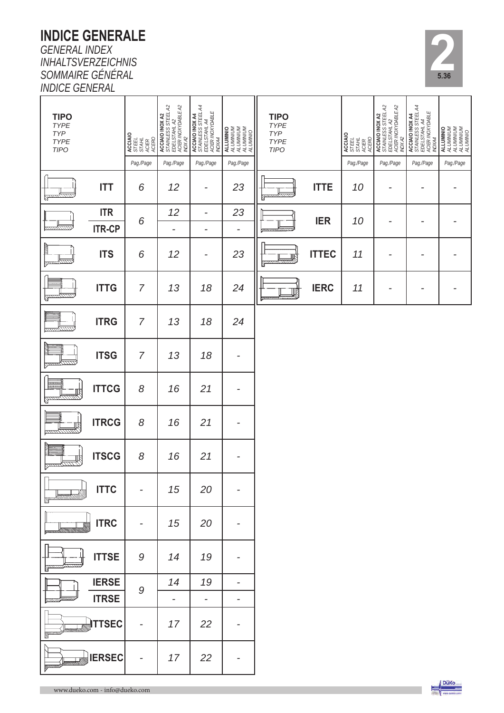## **INDICE GENERALE**

*GENERAL INDEX INHALTSVERZEICHNIS SOMMAIRE GÉNÉRAL INDICE GENERAL*

| <b>TIPO</b><br>TYPE<br>TYP<br>TYPE<br><b>TIPO</b> |               | <b>ACCIAIO</b><br>STEEL<br>STAHL<br>ACERO<br>ACERO | <b>ACCIAIO INOX A2</b><br>STAINLESS STEEL A2<br>EDELSTAHL A2<br>ACIER NOXYDABLE A2<br>ACIX A2 | MOCIANO INOX<br>EDELSTSTAHL A4<br>EDELSTAHL A4<br>STANLESS STEEL A4<br>ACCIANO INOX A4<br>ACCIANO INOX A4 | ALLUMINIO<br>ALUMINIUM<br>ALUMINIUM<br>ALUMINIO<br>ALUMINIO | <b>TIPO</b><br>TYPE<br>TYP<br>TYPE<br><b>TIPO</b> |              | <b>ACCIAIO</b><br>STEEL<br>STAHL<br>ACERO<br>ACERO | ACCIAIO INOX A2<br>STAMLESS STEEL A2<br>EDELSTAHL A2<br>ACIER MOXYDABLE A2<br>NOX A2 | ACCIAIO INOX A4<br>STAINLESS STEEL A4<br>EDELSTAHL A4<br>EDELSTAHL A4<br>ACIER NOXYDABLE<br><b>NOXA4</b> | <b>ALLUMINIO</b><br>ALUMINIUM<br>ALUMINIUM<br>ALUMINIO<br>ALUMINIO |
|---------------------------------------------------|---------------|----------------------------------------------------|-----------------------------------------------------------------------------------------------|-----------------------------------------------------------------------------------------------------------|-------------------------------------------------------------|---------------------------------------------------|--------------|----------------------------------------------------|--------------------------------------------------------------------------------------|----------------------------------------------------------------------------------------------------------|--------------------------------------------------------------------|
|                                                   |               | Pag./Page                                          | Pag./Page                                                                                     | Pag./Page                                                                                                 | Pag./Page                                                   |                                                   |              | Pag./Page                                          | Pag./Page                                                                            | Pag./Page                                                                                                | Pag./Page                                                          |
|                                                   | <b>ITT</b>    | 6                                                  | 12                                                                                            | $\overline{a}$                                                                                            | 23                                                          | Я                                                 | <b>ITTE</b>  | 10                                                 | -                                                                                    |                                                                                                          |                                                                    |
|                                                   | <b>ITR</b>    |                                                    | 12                                                                                            | $\overline{\phantom{a}}$                                                                                  | 23                                                          |                                                   |              |                                                    |                                                                                      |                                                                                                          |                                                                    |
|                                                   | <b>ITR-CP</b> | 6                                                  | -                                                                                             | $\overline{\phantom{a}}$                                                                                  | -                                                           |                                                   | <b>IER</b>   | 10                                                 |                                                                                      |                                                                                                          |                                                                    |
|                                                   | <b>ITS</b>    | 6                                                  | 12                                                                                            | -                                                                                                         | 23                                                          | N                                                 | <b>ITTEC</b> | 11                                                 |                                                                                      |                                                                                                          |                                                                    |
|                                                   | <b>ITTG</b>   | $\overline{7}$                                     | 13                                                                                            | 18                                                                                                        | 24                                                          |                                                   | <b>IERC</b>  | 11                                                 |                                                                                      | ٠                                                                                                        |                                                                    |
|                                                   | <b>ITRG</b>   | $\overline{7}$                                     | 13                                                                                            | 18                                                                                                        | 24                                                          |                                                   |              |                                                    |                                                                                      |                                                                                                          |                                                                    |
|                                                   | <b>ITSG</b>   | $\overline{7}$                                     | 13                                                                                            | 18                                                                                                        | -                                                           |                                                   |              |                                                    |                                                                                      |                                                                                                          |                                                                    |
| Q                                                 | <b>ITTCG</b>  | 8                                                  | 16                                                                                            | 21                                                                                                        |                                                             |                                                   |              |                                                    |                                                                                      |                                                                                                          |                                                                    |
| 形                                                 | <b>ITRCG</b>  | 8                                                  | 16                                                                                            | 21                                                                                                        |                                                             |                                                   |              |                                                    |                                                                                      |                                                                                                          |                                                                    |
| ℝ                                                 | <b>ITSCG</b>  | 8                                                  | 16                                                                                            | 21                                                                                                        |                                                             |                                                   |              |                                                    |                                                                                      |                                                                                                          |                                                                    |
|                                                   | <b>ITTC</b>   |                                                    | 15                                                                                            | 20                                                                                                        |                                                             |                                                   |              |                                                    |                                                                                      |                                                                                                          |                                                                    |
|                                                   | <b>ITRC</b>   | $\overline{\phantom{a}}$                           | 15                                                                                            | 20                                                                                                        | -                                                           |                                                   |              |                                                    |                                                                                      |                                                                                                          |                                                                    |
|                                                   | <b>ITTSE</b>  | $\cal{G}$                                          | 14                                                                                            | 19                                                                                                        |                                                             |                                                   |              |                                                    |                                                                                      |                                                                                                          |                                                                    |
|                                                   | <b>IERSE</b>  |                                                    | 14                                                                                            | 19                                                                                                        | -                                                           |                                                   |              |                                                    |                                                                                      |                                                                                                          |                                                                    |
|                                                   | <b>ITRSE</b>  | $\cal{G}$                                          | $\qquad \qquad \blacksquare$                                                                  | $\overline{\phantom{0}}$                                                                                  | $\overline{\phantom{a}}$                                    |                                                   |              |                                                    |                                                                                      |                                                                                                          |                                                                    |
|                                                   | <b>ITTSEC</b> |                                                    | 17                                                                                            | 22                                                                                                        | -                                                           |                                                   |              |                                                    |                                                                                      |                                                                                                          |                                                                    |
|                                                   | <b>IERSEC</b> |                                                    | 17                                                                                            | 22                                                                                                        |                                                             |                                                   |              |                                                    |                                                                                      |                                                                                                          |                                                                    |



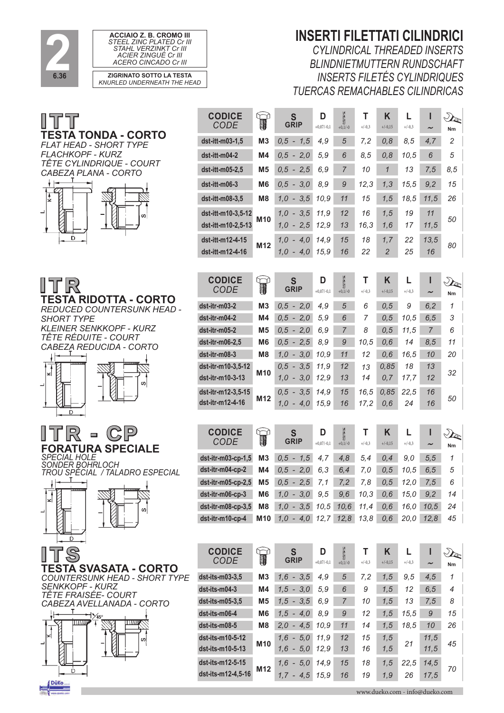







*REDUCED COUNTERSUNK HEAD - SHORT TYPE KLEINER SENKKOPF - KURZ TÊTE RÉDUITE - COURT CABEZA REDUCIDA - CORTO*





**SPECIAL HOLE<br>SONDER BOHRLOCH** *SONDER BOHRLOCH TROU SPÉCIAL / TALADRO ESPECIAL*

 $\overline{a}$ 



**TESTA SVASATA - CORTO** *COUNTERSUNK HEAD - SHORT TYPE SENKKOPF - KURZ TÊTE FRAISÉE- COURT CABEZA AVELLANADA - CORTO*



#### **INSERTI FILETTATI CILINDRICI**

*CYLINDRICAL THREADED INSERTS BLINDNIETMUTTERN RUNDSCHAFT INSERTS FILETÉS CYLINDRIQUES TUERCAS REMACHABLES CILINDRICAS*

| <b>CODICE</b>        |                 | S                | D            | 3              | т        | K              | L        | ı                     | $\mathcal{D}_{\!\!\mathbb{Z}}$ |
|----------------------|-----------------|------------------|--------------|----------------|----------|----------------|----------|-----------------------|--------------------------------|
| <b>CODE</b>          | 1               | <b>GRIP</b>      | $+0,07/-0,1$ | $+0,1/-0$      | $+/-0,3$ | $+/-0,15$      | $+/-0,3$ | $\tilde{}$            | Nm                             |
| dst-itt-m03-1,5      | M <sub>3</sub>  | $0,5 - 1,5$      | 4,9          | 5              | 7,2      | 0, 8           | 8,5      | 4,7                   | $\overline{c}$                 |
| dst-itt-m04-2        | M4              | $0,5 - 2,0$      | 5,9          | 6              | 8,5      | 0,8            | 10,5     | 6                     | 5                              |
| dst-itt-m05-2,5      | M <sub>5</sub>  | $0,5 - 2,5$      | 6,9          | $\overline{7}$ | 10       | $\mathbf{1}$   | 13       | 7,5                   | 8,5                            |
| dst-itt-m06-3        | M6              | $0,5 - 3,0$      | 8,9          | 9              | 12,3     | 1,3            | 15,5     | 9,2                   | 15                             |
| dst-itt-m08-3,5      | M <sub>8</sub>  | $1,0 - 3,5$      | 10,9         | 11             | 15       | 1,5            | 18,5     | 11,5                  | 26                             |
| dst-itt-m10-3,5-12   |                 | $1.0 - 3.5$      | 11.9         | 12             | 16       | 1,5            | 19       | 11                    |                                |
| dst-itt-m10-2,5-13   | M10             | $1,0 - 2,5$      | 12,9         | 13             | 16,3     | 1,6            | 17       | 11,5                  | 50                             |
| dst-itt-m12-4-15     | M <sub>12</sub> | $1,0 - 4,0$      | 14,9         | 15             | 18       | 1,7            | 22       | 13,5                  | 80                             |
| dst-itt-m12-4-16     |                 | $1,0 - 4,0$      | 15,9         | 16             | 22       | $\overline{2}$ | 25       | 16                    |                                |
|                      |                 |                  |              |                |          |                |          |                       |                                |
| <b>CODICE</b>        | $\mathbb{R}$    | S                | D            | 200            | т        | K              | L        | ı                     | $\mathcal{D}_{\mathbf{R}}$     |
| <b>CODE</b>          |                 | <b>GRIP</b>      | $+0,07/-0,1$ | $+0,1/-0$      | $+/-0,3$ | $+/-0,15$      | $+/-0,3$ | $\tilde{\phantom{a}}$ | Nm                             |
| dst-itr-m03-2        | M3              | $0,5 - 2,0$      | 4,9          | 5              | 6        | 0, 5           | 9        | 6, 2                  | 1                              |
| dst-itr-m04-2        | M4              | $0,5 - 2,0$      | 5,9          | 6              | 7        | 0, 5           | 10,5     | 6, 5                  | 3                              |
| dst-itr-m05-2        | M <sub>5</sub>  | $0,5 - 2,0$      | 6,9          | $\overline{7}$ | 8        | 0, 5           | 11,5     | $\overline{7}$        | 6                              |
| dst-itr-m06-2,5      | M <sub>6</sub>  | $0.5 - 2.5$      | 8,9          | 9              | 10,5     | 0,6            | 14       | 8,5                   | 11                             |
| dst-itr-m08-3        | M <sub>8</sub>  | $1,0 - 3,0$      | 10,9         | 11             | 12       | 0,6            | 16,5     | 10                    | 20                             |
| dst-itr-m10-3,5-12   | M10             | $0,5 - 3,5$      | 11,9         | 12             | 13       | 0,85           | 18       | 13                    | 32                             |
| dst-itr-m10-3-13     |                 | $1,0 - 3,0$      | 12,9         | 13             | 14       | 0, 7           | 17,7     | 12                    |                                |
| dst-itr-m12-3,5-15   | M12             | $0,5 - 3,5$      | 14,9         | 15             | 16.5     | 0.85           | 22.5     | 16                    | 50                             |
| dst-itr-m12-4-16     |                 | $1,0 - 4,0$      | 15.9         | 16             | 17,2     | 0,6            | 24       | 16                    |                                |
|                      |                 |                  |              |                |          |                |          |                       |                                |
| <b>CODICE</b>        | T               | S<br><b>GRIP</b> | D            | 3              | т        | K              | L        | ı                     | $\mathcal{D}_{\mathbb{R}}$     |
| <b>CODE</b>          |                 |                  | $+0.07/-0.1$ | $+0,1/-0$      | $+/-0,3$ | $+/-0,15$      | $+/-0,3$ | $\tilde{\phantom{a}}$ | Nm                             |
| $dst-itr-m03-cp-1,5$ | M <sub>3</sub>  | $0,5 - 1,5$      | 4,7          | 4,8            | 5,4      | 0,4            | 9,0      | 5, 5                  | 1                              |
| dst-itr-m04-cp-2     | M <sub>4</sub>  | $0,5 - 2,0$      | 6,3          | 6,4            | 7,0      | 0, 5           | 10,5     | 6, 5                  | 5                              |
| $dst-itr-m05-cp-2.5$ | M5              | $0.5 - 2.5$      | 7.1          | 7,2            | 7.8      | 0,5            | 12.0     | 7,5                   | 6                              |
| dst-itr-m06-cp-3     | M <sub>6</sub>  | $1,0 - 3,0$      | 9,5          | 9,6            | 10,3     | 0,6            | 15,0     | 9,2                   | 14                             |
| dst-itr-m08-cp-3,5   | M <sub>8</sub>  | $1,0 - 3,5$      | 10,5         | 10,6           | 11,4     | 0, 6           | 16,0     | 10,5                  | 24                             |
| dst-itr-m10-cp-4     | M10             | $1,0 - 4,0$      | 12,7         | 12,8           | 13,8     | 0,6            | 20,0     | 12,8                  | 45                             |
|                      |                 |                  |              |                |          |                |          |                       |                                |
| <b>CODICE</b>        |                 | S                | D            | 2              | Т        | Κ              | L        | ı                     | S                              |
| CODE                 | 1               | <b>GRIP</b>      | $+0,07/-0,1$ | $+0,1/-0$      | $+/-0,3$ | $+/-0,15$      | $+/-0,3$ |                       | Nm                             |
| dst-its-m03-3,5      | M3              | $1,6 - 3,5$      | 4,9          | $\sqrt{5}$     | 7,2      | 1,5            | 9,5      | 4,5                   | 1                              |
| dst-its-m04-3        | M4              | $1,5 - 3,0$      | 5,9          | 6              | 9        | 1,5            | 12       | 6, 5                  | 4                              |
| dst-its-m05-3,5      | M5              | $1,5 - 3,5$      | 6,9          | 7              | 10       | 1, 5           | 13       | 7,5                   | 8                              |
| dst-its-m06-4        | M6              | $1,5 - 4,0$      | 8,9          | 9              | 12       | 1,5            | 15,5     | $\boldsymbol{9}$      | 15                             |

**dst-its-m08-5 M8** *2,0 - 4,5 10,9 11 14 1,5 18,5 10 26*

**M10** *1,6 - 5,0 11,9 12 15 1,5 <sup>21</sup> 11,5 <sup>45</sup>* **dst-its-m10-5-13** *1,6 - 5,0 12,9 13 16 1,5 11,5*

**M12** *1,6 - 5,0 14,9 15 18 1,5 22,5 14,5 <sup>70</sup>* **dst-its-m12-4,5-16** *1,7 - 4,5 15,9 16 19 1,9 26 17,5*

**dst-its-m10-5-12**

**dst-its-m12-5-15**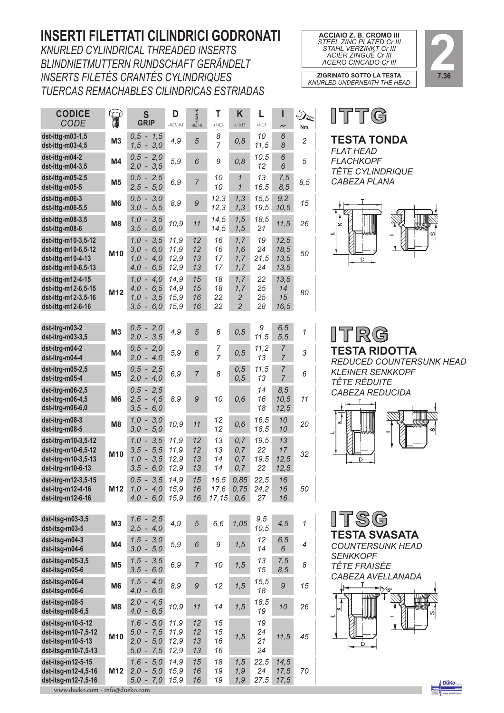### **INSERTI FILETTATI CILINDRICI GODRONATI**

*KNURLED CYLINDRICAL THREADED INSERTS BLINDNIETMUTTERN RUNDSCHAFT GERÄNDELT INSERTS FILETÉS CRANTÉS CYLINDRIQUES TUERCAS REMACHABLES CILINDRICAS ESTRIADAS*

| <b>CODICE</b><br><b>CODE</b>                                                           | T.             | S<br><b>GRIP</b>                                         | D<br>$+0,07/-0,1$            | $\sum_{+0,1/-0}$     | т<br>$+/-0,3$               | Κ<br>$+/-0,15$                                 | L<br>$+/-0,3$            | I<br>$\tilde{\phantom{a}}$   | $\mathcal{D}_{\!\!\mathcal{P}}$<br>Nm |                                     |
|----------------------------------------------------------------------------------------|----------------|----------------------------------------------------------|------------------------------|----------------------|-----------------------------|------------------------------------------------|--------------------------|------------------------------|---------------------------------------|-------------------------------------|
| dst-ittg-m03-1,5<br>dst-ittg-m03-4,5                                                   | M <sub>3</sub> | $0,5 - 1,5$<br>$1,5 - 3,0$                               | 4,9                          | 5                    | 8<br>$\overline{7}$         | 0,8                                            | 10<br>11,5               | 6<br>8                       | $\overline{c}$                        | ı<br>F                              |
| dst-ittg-m04-2<br>dst-ittg-m04-3,5                                                     | M4             | $0,5 - 2,0$<br>$2,0 -$<br>3,5                            | 5,9                          | 6                    | 9                           | 0, 8                                           | 10,5<br>12               | 6<br>6                       | 5                                     | F<br>7                              |
| dst-ittg-m05-2,5<br>dst-ittg-m05-5                                                     | M <sub>5</sub> | $0,5 - 2,5$<br>$2,5 - 5,0$                               | 6,9                          | $\overline{7}$       | 10<br>10                    | $\mathcal I$<br>$\mathcal{I}$                  | 13<br>16,5               | 7,5<br>8,5                   | 8,5                                   | $\mathsf{C}$                        |
| dst-ittg-m06-3<br>dst-ittg-m06-5,5                                                     | M <sub>6</sub> | $0,5 - 3,0$<br>$3,0 - 5,5$                               | 8,9                          | 9                    | 12,3<br>12,3                | 1,3<br>1, 3                                    | 15,5<br>19,5             | 9,2<br>10,5                  | 15                                    |                                     |
| $dst-ittg-m08-3,5$<br>dst-ittg-m08-6                                                   | M <sub>8</sub> | $1,0 - 3,5$<br>$3,5 - 6,0$                               | 10,9                         | 11                   | 14,5<br>14,5                | 1,5<br>1,5                                     | 18,5<br>21               | 11,5                         | 26                                    |                                     |
| dst-ittg-m10-3,5-12<br>dst-ittg-m10-6,5-12<br>dst-ittg-m10-4-13<br>dst-ittg-m10-6,5-13 | M10            | $1,0 - 3,5$<br>$3,0 - 6,0$<br>$1,0 - 4,0$<br>$4,0 - 6,5$ | 11,9<br>11,9<br>12,9<br>12,9 | 12<br>12<br>13<br>13 | 16<br>16<br>17<br>17        | 1, 7<br>1,6<br>1, 7<br>1,7                     | 19<br>24<br>21,5<br>24   | 12,5<br>18,5<br>13,5<br>13,5 | 50                                    |                                     |
| dst-ittg-m12-4-15<br>dst-ittg-m12-6,5-15<br>dst-ittg-m12-3,5-16<br>dst-ittg-m12-6-16   | M12            | $1,0 - 4,0$<br>$4,0 - 6,5$<br>$1,0 - 3,5$<br>$3,5 - 6,0$ | 14,9<br>14,9<br>15,9<br>15,9 | 15<br>15<br>16<br>16 | 18<br>18<br>22<br>22        | 1,7<br>1,7<br>$\overline{c}$<br>$\overline{2}$ | 22<br>25<br>25<br>28     | 13,5<br>14<br>15<br>16,5     | 80                                    |                                     |
| dst-itrg-m03-2<br>dst-itrg-m03-3,5                                                     | M <sub>3</sub> | $0,5 - 2,0$<br>$2,0 - 3,5$                               | 4,9                          | 5                    | 6                           | 0, 5                                           | 9<br>11,5                | 6, 5<br>5, 5                 | 1                                     |                                     |
| dst-itrg-m04-2<br>dst-itrg-m04-4                                                       | M4             | $0,5 - 2,0$<br>$2,0 - 4,0$                               | 5,9                          | 6                    | 7<br>$\overline{7}$         | 0, 5                                           | 11,2<br>13               | 7<br>7                       | 3                                     | ı<br>F                              |
| dst-itrg-m05-2,5<br>dst-itrg-m05-4                                                     | M <sub>5</sub> | $0,5 - 2,5$<br>$2,0 - 4,0$                               | 6,9                          | $\overline{7}$       | 8                           | 0, 5<br>0, 5                                   | 11,5<br>13               | 7<br>7                       | 6                                     | K<br>7                              |
| dst-itrg-m06-2,5<br>dst-itrg-m06-4,5<br>dst-itrg-m06-6,0                               | M <sub>6</sub> | $0,5 - 2,5$<br>$2,5 - 4,5$<br>$3,5 - 6,0$                | 8,9                          | 9                    | 10                          | 0,6                                            | 14<br>16<br>18           | 8,5<br>10,5<br>12,5          | 11                                    | C                                   |
| dst-itrg-m08-3<br>dst-itrg-m08-5                                                       | M <sub>8</sub> | 3,0<br>$1,0 -$<br>$3,0 - 5,0$                            | 10,9                         | 11                   | 12<br>12                    | 0,6                                            | 16,5<br>18,5             | 10<br>10                     | 20                                    |                                     |
| dst-itrg-m10-3,5-12<br>dst-itrg-m10-6,5-12<br>dst-itrg-m10-3,5-13<br>dst-itrg-m10-6-13 | M10            | $1,0 - 3,5$<br>$3,5 - 5,5$<br>$1,0 - 3,5$<br>$3,5 - 6,0$ | 11,9<br>11,9<br>12,9<br>12,9 | 12<br>12<br>13<br>13 | 13<br>13<br>14<br>14        | 0,7<br>0,7<br>0,7<br>0, 7                      | 19,5<br>22<br>19,5<br>22 | 13<br>17<br>12,5<br>12,5     | 32                                    |                                     |
| dst-itrg-m12-3,5-15<br>dst-itrg-m12-4-16<br>dst-itrg-m12-6-16                          | M12            | $0,5 - 3,5$<br>$1,0 - 4,0$<br>$4,0 - 6,0$                | 14,9<br>15,9<br>15,9         | 15<br>16<br>16       | 16,5<br>17,6<br>$17,15$ 0,6 | 0,85<br>0,75                                   | 22,5<br>24,2<br>27       | 16<br>16<br>16               | 50                                    |                                     |
| dst-itsg-m03-3,5<br>dst-itsg-m03-5                                                     | M <sub>3</sub> | $1,6 - 2,5$<br>$2,5 - 4,0$                               | 4,9                          | 5                    | 6, 6                        | 1,05                                           | 9,5<br>10,5              | 4,5                          | $\mathcal I$                          | ı                                   |
| dst-itsg-m04-3<br>dst-itsg-m04-6                                                       | M4             | $1,5 - 3,0$<br>$3,0 - 5,0$                               | 5,9                          | 6                    | 9                           | 1, 5                                           | 12<br>14                 | 6, 5<br>6                    | 4                                     | C                                   |
| $dst-itsg-m05-3,5$<br>dst-itsg-m05-6                                                   | M <sub>5</sub> | $1,5 - 3,5$<br>$3,5 - 6,0$                               | 6,9                          | $\overline{7}$       | 10                          | 1, 5                                           | 13<br>15                 | 7,5<br>8,5                   | 8                                     | S<br>$\overline{1}$<br>$\mathsf{C}$ |
| dst-itsg-m06-4<br>dst-itsg-m06-6                                                       | M <sub>6</sub> | $1,5 - 4,0$<br>$4,0 - 6,0$                               | 8,9                          | 9                    | 12                          | 1, 5                                           | 15,5<br>18               | 9                            | 15                                    | $\overline{1}$                      |
| dst-itsg-m08-5<br>dst-itsg-m08-6,5                                                     | M <sub>8</sub> | $2,0 - 4,5$<br>$4,0 - 6,5$                               | 10,9                         | 11                   | 14                          | 1,5                                            | 18,5<br>19               | 10                           | 26                                    | ┙                                   |
| dst-itsg-m10-5-12<br>dst-itsg-m10-7,5-12<br>dst-itsg-m10-5-13<br>dst-itsg-m10-7,5-13   | M10            | $1,6 - 5,0$<br>$5,0 - 7,5$<br>$2,0 - 5,0$<br>$5,0 - 7,5$ | 11,9<br>11,9<br>12,9<br>12,9 | 12<br>12<br>13<br>13 | 15<br>15<br>16<br>16        | 1, 5                                           | 19<br>24<br>21<br>24     | 11,5                         | 45                                    |                                     |
| dst-itsg-m12-5-15<br>dst-itsg-m12-4,5-16<br>dst-itsg-m12-7,5-16                        | M12            | $1,6 - 5,0$<br>$2,0 - 5,0$<br>$5,0 - 7,0$                | 14,9<br>15,9<br>15,9         | 15<br>16<br>16       | 18<br>19<br>19              | 1, 5<br>1, 9<br>1, 9                           | 22,5<br>24<br>27,5       | 14,5<br>17,5<br>17,5         | 70                                    |                                     |





**ITTG** 

#### **TESTA TONDA**

*FLAT HEAD FLACHKOPF TÊTE CYLINDRIQUE CABEZA PLANA*





**TESTA RIDOTTA**  *REDUCED COUNTERSUNK HEAD KLEINER SENKKOPF TÊTE RÉDUITE CABEZA REDUCIDA*





*COUNTERSUNK HEAD SENKKOPF TÊTE FRAISÉE*



www.dueko.com - info@dueko.com

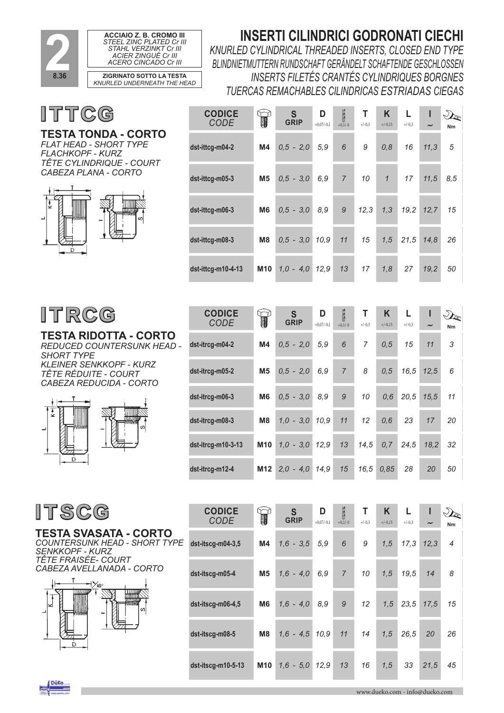

*CODE*

**CODICE** *CODE*

### **INSERTI CILINDRICI GODRONATI CIECHI**

**T**  $+/-0.3$ 

**T**  $+/-0.3$ 

**K** +/-0,15

**L**  $+/-0.3$  **I**

**Nm**

 $\mathcal{D}_{\!\!\mathcal{E}}$ 

**K**  $+/-0.15$ 

**L**  $+/-0.3$  **I**

 $\sim$ 

**Nm**

 $\mathcal{D}_{\mathbb{C}}$ 

*KNURLED CYLINDRICAL THREADED INSERTS, CLOSED END TYPE BLINDNIETMUTTERN RUNDSCHAFT GERÄNDELT SCHAFTENDE GESCHLOSSEN INSERTS FILETÉS CRANTÉS CYLINDRIQUES BORGNES TUERCAS REMACHABLES CILINDRICAS ESTRIADAS CIEGAS*

**SAS** 

**D**  $+0.07/-0.1$   $+0.1/-0$ 

**dst-ittcg-m04-2 M4** *0,5 - 2,0 5,9 6 9 0,8 16 11,3 5*

**dst-ittcg-m05-3 M5** *0,5 - 3,0 6,9 7 10 1 17 11,5 8,5*

**dst-ittcg-m06-3 M6** *0,5 - 3,0 8,9 9 12,3 1,3 19,2 12,7 15*

**dst-ittcg-m08-3 M8** *0,5 - 3,0 10,9 11 15 1,5 21,5 14,8 26*

**dst-ittcg-m10-4-13 M10** *1,0 - 4,0 12,9 13 17 1,8 27 19,2 50*

**D**  $\mathbf{D}$   $\mathbf{B}$ <br>+0,07/-0,1 +0,1/-0

**dst-itrcg-m04-2 M4** *0,5 - 2,0 5,9 6 7 0,5 15 11 3*

**dst-itrcg-m05-2 M5** *0,5 - 2,0 6,9 7 8 0,5 16,5 12,5 6*

**dst-itrcg-m06-3 M6** *0,5 - 3,0 8,9 9 10 0,6 20,5 15,5 11*

**dst-itrcg-m08-3 M8** *1,0 - 3,0 10,9 11 12 0,6 23 17 20*

**dst-itrcg-m10-3-13 M10** *1,0 - 3,0 12,9 13 14,5 0,7 24,5 18,2 32*

**dst-itrcg-m12-4 M12** *2,0 - 4,0 14,9 15 16,5 0,85 28 20 50*

**S GRIP**

T

**S GRIP**

∩ੇ

T

ITTCG **CODICE**

#### **TESTA TONDA - CORTO** *FLAT HEAD - SHORT TYPE*

*FLACHKOPF - KURZ TÊTE CYLINDRIQUE - COURT CABEZA PLANA - CORTO*



## ITRCG

**TESTA RIDOTTA - CORTO** *REDUCED COUNTERSUNK HEAD - SHORT TYPE KLEINER SENKKOPF - KURZ TÊTE RÉDUITE - COURT CABEZA REDUCIDA - CORTO*



**ITSCG** 

**TESTA SVASATA - CORTO** *COUNTERSUNK HEAD - SHORT TYPE SENKKOPF - KURZ TÊTE FRAISÉE- COURT CABEZA AVELLANADA - CORTO*



| <b>CODICE</b><br><b>CODE</b> | W              | S<br>GRIP        | D<br>$+0,07/-0,1$ | 3<br>$+0,1/-0$ | Τ<br>$+/-0,3$ | K<br>$+/-0,15$ | L<br>$+/-0.3$ | ш<br>$\tilde{}$ | Nm                       |
|------------------------------|----------------|------------------|-------------------|----------------|---------------|----------------|---------------|-----------------|--------------------------|
| $dst-itscg-m04-3,5$          | M4             | $1,6 - 3,5$      | 5,9               | 6              | 9             | 1,5            | 17,3          | 12,3            | $\overline{\mathcal{A}}$ |
| dst-itscg-m05-4              | M <sub>5</sub> | $1,6 - 4,0$      | 6,9               | $\overline{7}$ | 10            | 1,5            | 19,5          | 14              | 8                        |
| dst-itscg-m06-4,5            | M <sub>6</sub> | $1,6 - 4,0$      | 8,9               | 9              | 12            | 1,5            | 23,5          | 17,5            | 15                       |
| dst-itscg-m08-5              | M8             | $1,6 - 4,5 10,9$ |                   | 11             | 14            | 1,5            | 26,5          | 20              | 26                       |
| $dst-itscg-m10-5-13$         | <b>M10</b>     | $1.6 - 5.0$      | 12.9              | 13             | 16            | 1,5            | 33            | 21,5            | 45                       |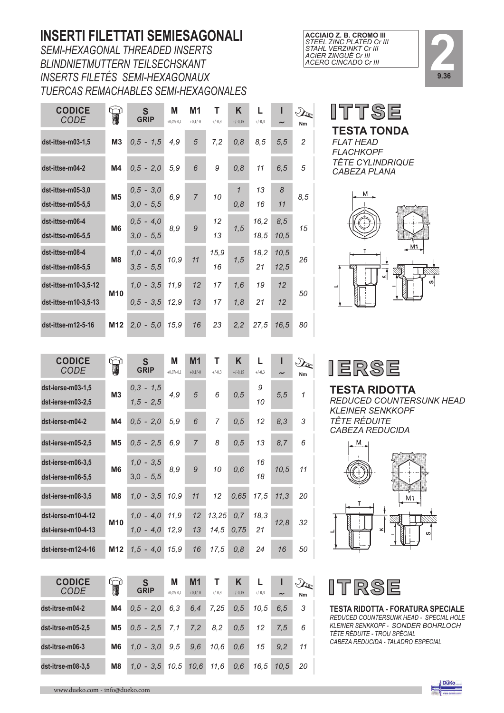### **INSERTI FILETTATI SEMIESAGONALI**

*SEMI-HEXAGONAL THREADED INSERTS BLINDNIETMUTTERN TEILSECHSKANT INSERTS FILETÉS SEMI-HEXAGONAUX TUERCAS REMACHABLES SEMI-HEXAGONALES*

| <b>CODICE</b><br><b>CODE</b>                 |                 | S<br><b>GRIP</b>           | M<br>$+0,07/-0,1$ | M <sub>1</sub><br>$+0.1/-0$ | Т<br>$+/-0,3$ | Κ<br>$+/-0,15$      | L<br>$+/-0.3$ | ı<br>$\tilde{}$ | $\mathcal{D}_{\mathcal{F}}$<br>Nm |
|----------------------------------------------|-----------------|----------------------------|-------------------|-----------------------------|---------------|---------------------|---------------|-----------------|-----------------------------------|
| dst-ittse-m03-1,5                            | M <sub>3</sub>  | $0.5 - 1.5$                | 4,9               | 5                           | 7,2           | 0,8                 | 8,5           | 5,5             | $\overline{c}$                    |
| dst-ittse-m04-2                              | M <sub>4</sub>  | $0,5 - 2,0$                | 5,9               | 6                           | 9             | 0, 8                | 11            | 6, 5            | 5                                 |
| dst-ittse-m05-3,0<br>dst-ittse-m05-5.5       | M <sub>5</sub>  | $0,5 - 3,0$<br>$3,0 - 5,5$ | 6,9               | $\overline{7}$              | 10            | $\mathbf{1}$<br>0,8 | 13<br>16      | 8<br>11         | 8,5                               |
| dst-ittse-m06-4<br>dst-ittse-m06-5,5         | M <sub>6</sub>  | $0,5 - 4,0$<br>$3.0 - 5.5$ | 8,9               | 9                           | 12<br>13      | 1,5                 | 16,2<br>18.5  | 8,5<br>10,5     | 15                                |
| dst-ittse-m08-4<br>dst-ittse-m08-5,5         | M <sub>8</sub>  | $1,0 - 4,0$<br>$3.5 - 5.5$ | 10,9              | 11                          | 15,9<br>16    | 1,5                 | 18,2<br>21    | 10,5<br>12,5    | 26                                |
| dst-ittse-m10-3,5-12<br>dst-ittse-m10-3,5-13 | M10             | $1.0 - 3.5$<br>$0,5 - 3,5$ | 11,9<br>12,9      | 12<br>13                    | 17<br>17      | 1,6<br>1,8          | 19<br>21      | 12<br>12        | 50                                |
| dst-ittse-m12-5-16                           | M <sub>12</sub> | $2.0 - 5.0$                | 15.9              | 16                          | 23            | 2,2                 | 27.5          | 16.5            | 80                                |

| ACCIAIO Z. B. CROMO III         |
|---------------------------------|
| <b>STEEL ZINC PLATED Cr III</b> |
| <b>STAHL VERZINKT Cr III</b>    |
| ACIER ZINGUÉ Cr III             |
| ACERO CINCADO Cr III            |







| ÷. |
|----|
|----|

## **TESTA RIDOTTA**

*REDUCED COUNTERSUNK HEAD KLEINER SENKKOPF TÊTE RÉDUITE CABEZA REDUCIDA*





**TESTA RIDOTTA - FORATURA SPECIALE** *REDUCED COUNTERSUNK HEAD - SPECIAL HOLE KLEINER SENKKOPF - SONDER BOHRLOCH TÊTE RÉDUITE - TROU SPÉCIAL CABEZA REDUCIDA - TALADRO ESPECIAL*

| <b>CODICE</b><br>CODE                    |                 | S<br><b>GRIP</b>           | М<br>$+0.07/-0.1$ | M1<br>$+0.1/-0$ | Т<br>$+/-0.3$  | K<br>$+/-0.15$ | L<br>$+/-0.3$ | ı<br>$\tilde{}$ | Nm           |
|------------------------------------------|-----------------|----------------------------|-------------------|-----------------|----------------|----------------|---------------|-----------------|--------------|
| dst-ierse-m03-1.5<br>dst-ierse-m03-2,5   | M <sub>3</sub>  | $0.3 - 1.5$<br>$1.5 - 2.5$ | 4,9               | 5               | 6              | 0,5            | 9<br>10       | 5,5             | $\mathcal I$ |
| dst-ierse-m04-2                          | M4              | $0,5 - 2,0$                | 5,9               | 6               | $\overline{7}$ | 0,5            | 12            | 8,3             | 3            |
| dst-ierse-m05-2.5                        | M <sub>5</sub>  | $0,5 - 2,5$                | 6.9               | $\overline{7}$  | 8              | 0,5            | 13            | 8,7             | 6            |
| dst-ierse-m06-3,5<br>dst-ierse-m06-5.5   | M <sub>6</sub>  | $1,0 - 3,5$<br>$3.0 - 5.5$ | 8.9               | 9               | 10             | 0,6            | 16<br>18      | 10,5            | 11           |
| dst-ierse-m08-3,5                        | M <sub>8</sub>  | $1.0 - 3.5$                | 10.9              | 11              | 12             | 0.65           | 17.5          | 11,3            | 20           |
| dst-ierse-m10-4-12<br>dst-ierse-m10-4-13 | M <sub>10</sub> | $1.0 - 4.0$<br>$1.0 - 4.0$ | 11,9<br>12.9      | 12<br>13        | 13,25<br>14,5  | 0, 7<br>0,75   | 18.3<br>21    | 12,8            | 32           |
| dst-ierse-m12-4-16                       | M12             | $1.5 - 4.0$                | 15.9              | 16              | 17.5           | 0,8            | 24            | 16              | 50           |

| <b>CODICE</b>     |                | S             | М            | M <sub>1</sub> |          | K         |          |                       | $\sqrt{2}$ |
|-------------------|----------------|---------------|--------------|----------------|----------|-----------|----------|-----------------------|------------|
| <b>CODE</b>       | W              | <b>GRIP</b>   | $+0.07/-0.1$ | $+0.1/-0$      | $+/-0.3$ | $+/-0.15$ | $+/-0.3$ | $\tilde{\phantom{a}}$ | Nm         |
| dst-itrse-m04-2   | M4             | $0.5 - 2.0$   | 6.3          | 6, 4           | 7.25     | 0.5       | 10.5     | 6.5                   | 3          |
| dst-itrse-m05-2,5 | M <sub>5</sub> | $0.5 - 2.5$   | 7,1          | 7,2            | 8,2      | 0.5       | 12       | 7.5                   | 6          |
| dst-itrse-m06-3   | M <sub>6</sub> | $1,0 - 3,0$   | 9.5          | 9,6            | 10,6     | 0,6       | 15       | 9.2                   | 11         |
| dst-itrse-m08-3,5 | M <sub>8</sub> | $-3.5$<br>1.0 | 10.5         | 10.6           | 11.6     | 0,6       | 16.5     | 10.5                  | 20         |

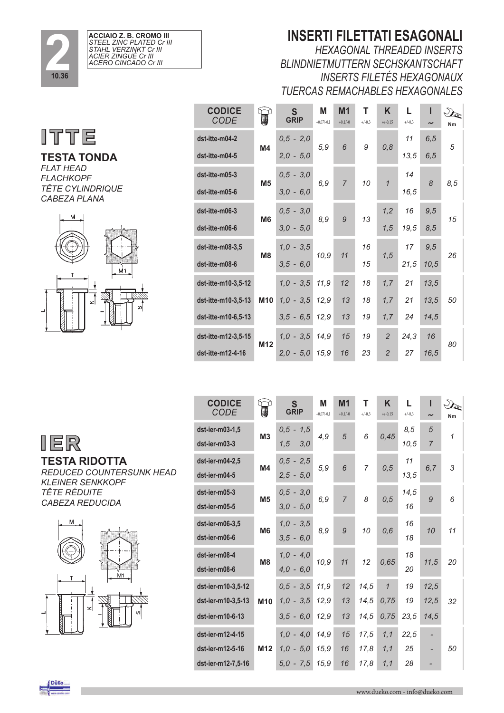

| ACCIAIO Z. B. CROMO III  |  |
|--------------------------|--|
| STEEL ZINC PLATED Cr III |  |
| STAHL VERZINKT Cr III    |  |
| ACIER ZINGUÉ Cr III      |  |
| ACERO CINCADO Cr III     |  |



**TESTA TONDA** *FLAT HEAD FLACHKOPF TÊTE CYLINDRIQUE CABEZA PLANA*



| <b>CODICE</b><br><b>CODE</b> |                 | S<br><b>GRIP</b> | Μ<br>$+0,07/-0,1$ | M <sub>1</sub><br>$+0,1/-0$ | Т        | K<br>$+/-0,15$ | L<br>$+/-0,3$ |                       |     |
|------------------------------|-----------------|------------------|-------------------|-----------------------------|----------|----------------|---------------|-----------------------|-----|
|                              |                 |                  |                   |                             | $+/-0,3$ |                |               | $\tilde{\phantom{a}}$ | Nm  |
| dst-itte-m04-2               |                 | $0,5 - 2,0$      | 5,9               | 6                           | 9        | 0, 8           | 11            | 6, 5                  | 5   |
| dst-itte-m04-5               | M4              | $2,0 - 5,0$      |                   |                             |          |                | 13,5          | 6, 5                  |     |
| dst-itte-m05-3               |                 | $0,5 - 3,0$      |                   |                             |          |                | 14            |                       |     |
| dst-itte-m05-6               | M <sub>5</sub>  | $3.0 - 6.0$      | 6,9               | $\overline{7}$              | 10       | $\mathcal I$   | 16,5          | 8                     | 8,5 |
| dst-itte-m06-3               |                 | $0,5 - 3,0$      |                   |                             |          | 1, 2           | 16            | 9,5                   |     |
| dst-itte-m06-6               | M <sub>6</sub>  | $3.0 - 5.0$      | 8,9               | 9                           | 13       | 1,5            | 19,5          | 8,5                   | 15  |
| dst-itte-m08-3,5             |                 | $1,0 - 3,5$      |                   |                             | 16       |                | 17            | 9,5                   |     |
| dst-itte-m08-6               | M <sub>8</sub>  | $3.5 - 6.0$      | 10,9              | 11                          | 15       | 1,5            | 21,5          | 10,5                  | 26  |
|                              |                 |                  |                   |                             |          |                |               |                       |     |
| dst-itte-m10-3,5-12          |                 | $1,0 - 3,5$      | 11,9              | 12                          | 18       | 1, 7           | 21            | 13,5                  |     |
| dst-itte-m10-3,5-13          | M <sub>10</sub> | $1,0 - 3,5$      | 12,9              | 13                          | 18       | 1,7            | 21            | 13,5                  | 50  |
| dst-itte-m10-6,5-13          |                 | $3,5 - 6,5$      | 12,9              | 13                          | 19       | 1,7            | 24            | 14,5                  |     |
| dst-itte-m12-3,5-15          |                 | $1,0 - 3,5$      | 14,9              | 15                          | 19       | $\overline{2}$ | 24,3          | 16                    |     |
| dst-itte-m12-4-16            | M <sub>12</sub> | $2,0 - 5,0$      | 15,9              | 16                          | 23       | $\overline{2}$ | 27            | 16,5                  | 80  |



**TESTA RIDOTTA** *REDUCED COUNTERSUNK HEAD KLEINER SENKKOPF TÊTE RÉDUITE CABEZA REDUCIDA*



| <b>CODICE</b><br><b>CODE</b> |                 | S<br><b>GRIP</b> | Μ<br>$+0,07/-0,1$ | M <sub>1</sub><br>$+0,1/-0$ | т<br>$+/-0,3$  | K<br>$+/-0,15$ | L.<br>$+/-0,3$ | I<br>$\tilde{\phantom{a}}$ | Nm           |
|------------------------------|-----------------|------------------|-------------------|-----------------------------|----------------|----------------|----------------|----------------------------|--------------|
| dst-ier-m03-1,5              | M <sub>3</sub>  | $0,5 - 1,5$      | 4,9               | 5                           | 6              | 0,45           | 8,5            | 5                          | $\mathcal I$ |
| dst-ier-m03-3                |                 | 1,5<br>3,0       |                   |                             |                |                | 10,5           | $\overline{7}$             |              |
| dst-ier-m04-2,5              | M <sub>4</sub>  | $0,5 - 2,5$      | 5,9               | 6                           | $\overline{7}$ | 0, 5           | 11             | 6, 7                       | 3            |
| dst-ier-m04-5                |                 | $2,5 - 5,0$      |                   |                             |                |                | 13,5           |                            |              |
| dst-ier-m05-3                | M <sub>5</sub>  | $0,5 - 3,0$      |                   | $\overline{7}$              | 8              |                | 14,5           | 9                          | 6            |
| dst-ier-m05-5                |                 | $3,0 - 5,0$      | 6,9               |                             |                | 0, 5           | 16             |                            |              |
| dst-ier-m06-3,5              | M <sub>6</sub>  | $1,0 - 3,5$      | 8,9               | 9                           | 10             | 0,6            | 16             | 10                         | 11           |
| dst-ier-m06-6                |                 | $3.5 - 6.0$      |                   |                             |                |                | 18             |                            |              |
| dst-ier-m08-4                | M <sub>8</sub>  | $1,0 - 4,0$      | 10,9              | 11                          | 12             | 0,65           | 18             | 11,5                       | 20           |
| dst-ier-m08-6                |                 | $4.0 - 6.0$      |                   |                             |                |                | 20             |                            |              |
| dst-ier-m10-3,5-12           |                 | $0,5 - 3,5$      | 11,9              | 12                          | 14,5           | $\mathbf{1}$   | 19             | 12,5                       |              |
| dst-ier-m10-3,5-13           | M10             | $1,0 - 3,5$      | 12,9              | 13                          | 14,5           | 0,75           | 19             | 12,5                       | 32           |
| dst-ier-m10-6-13             |                 | $3.5 - 6.0$      | 12,9              | 13                          | 14.5           | 0.75           | 23.5           | 14,5                       |              |
| dst-ier-m12-4-15             |                 | $1,0 - 4,0$      | 14,9              | 15                          | 17,5           | 1,1            | 22,5           | $\overline{\phantom{0}}$   |              |
| dst-ier-m12-5-16             | M <sub>12</sub> | $1,0 - 5,0$      | 15,9              | 16                          | 17,8           | 1, 1           | 25             |                            | 50           |
| dst-ier-m12-7,5-16           |                 | $5.0 - 7.5$      | 15,9              | 16                          | 17,8           | 1,1            | 28             |                            |              |

#### **INSERTI FILETTATI ESAGONALI** *HEXAGONAL THREADED INSERTS*

*BLINDNIETMUTTERN SECHSKANTSCHAFT INSERTS FILETÉS HEXAGONAUX TUERCAS REMACHABLES HEXAGONALES*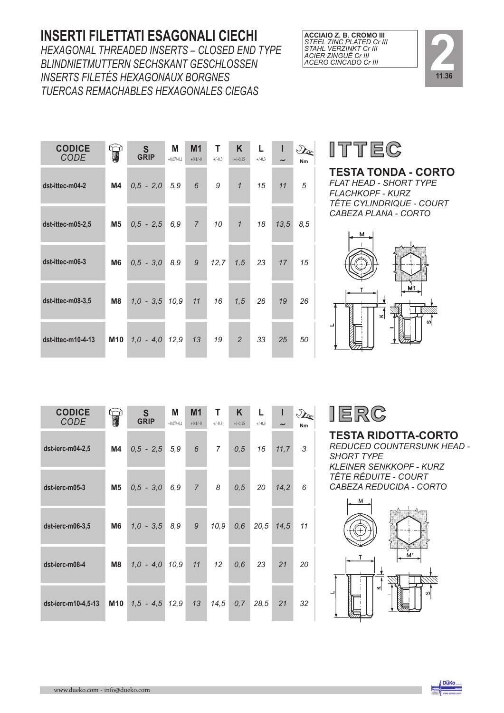#### **INSERTI FILETTATI ESAGONALI CIECHI**

*HEXAGONAL THREADED INSERTS – CLOSED END TYPE BLINDNIETMUTTERN SECHSKANT GESCHLOSSEN INSERTS FILETÉS HEXAGONAUX BORGNES TUERCAS REMACHABLES HEXAGONALES CIEGAS*

| <b>CODICE</b><br><b>CODE</b> |                | S<br>GRIP        | Μ<br>$+0,07/-0,1$ | M <sub>1</sub><br>$+0,1/-0$ | T<br>$+/-0,3$ | K<br>$+/-0,15$ | L<br>$+/-0,3$ | ı<br>$\tilde{}$ | Nm  |  |
|------------------------------|----------------|------------------|-------------------|-----------------------------|---------------|----------------|---------------|-----------------|-----|--|
| dst-ittec-m04-2              | M4             | $0,5 - 2,0$      | 5,9               | 6                           | 9             | $\mathcal I$   | 15            | 11              | 5   |  |
| dst-ittec-m05-2,5            | M5             | $0,5 - 2,5$      | 6,9               | $\overline{7}$              | 10            | $\mathcal{I}$  | 18            | 13,5            | 8,5 |  |
| dst-ittec-m06-3              | M <sub>6</sub> | $0,5 - 3,0$      | 8,9               | 9                           | 12,7          | 1,5            | 23            | 17              | 15  |  |
| dst-ittec-m08-3,5            | M8             | $1,0 - 3,5 10,9$ |                   | 11                          | 16            | 1,5            | 26            | 19              | 26  |  |
| dst-ittec-m10-4-13           | <b>M10</b>     | $1,0 - 4,0$      | 12,9              | 13                          | 19            | $\overline{2}$ | 33            | 25              | 50  |  |





# **ITTEC**

**TESTA TONDA - CORTO**

*FLAT HEAD - SHORT TYPE FLACHKOPF - KURZ TÊTE CYLINDRIQUE - COURT CABEZA PLANA - CORTO*



| <b>CODICE</b><br><b>CODE</b> | T              | S<br>GRIP        | М<br>$+0.07/-0.1$ | M <sub>1</sub><br>$+0,1/-0$ | Т<br>$+/-0,3$ | K.<br>$+/-0,15$ | $+/-0.3$ | $\tilde{\phantom{a}}$ | Nm |  |
|------------------------------|----------------|------------------|-------------------|-----------------------------|---------------|-----------------|----------|-----------------------|----|--|
| dst-ierc-m04-2,5             | M4             | $0,5 - 2,5$      | 5,9               | 6                           | $7^{\circ}$   | 0,5             | 16       | 11,7                  | 3  |  |
| dst-ierc-m05-3               | <b>M5</b>      | $0,5 - 3,0$      | 6,9               | $\overline{7}$              | 8             | 0,5             | 20       | 14,2                  | 6  |  |
| dst-ierc-m06-3,5             | M <sub>6</sub> | $1,0 - 3,5$      | 8,9               | 9                           | 10,9          | 0,6             | 20,5     | 14,5                  | 11 |  |
| dst-ierc-m08-4               | M8             | $1,0 - 4,0 10,9$ |                   | 11                          | 12            | 0,6             | 23       | 21                    | 20 |  |
| dst-ierc-m10-4,5-13          | M10            | $1,5 - 4,5$ 12,9 |                   | 13                          | 14,5          | 0, 7            | 28,5     | 21                    | 32 |  |

IERC

**TESTA RIDOTTA-CORTO** *REDUCED COUNTERSUNK HEAD - SHORT TYPE*

*KLEINER SENKKOPF - KURZ TÊTE RÉDUITE - COURT CABEZA REDUCIDA - CORTO*



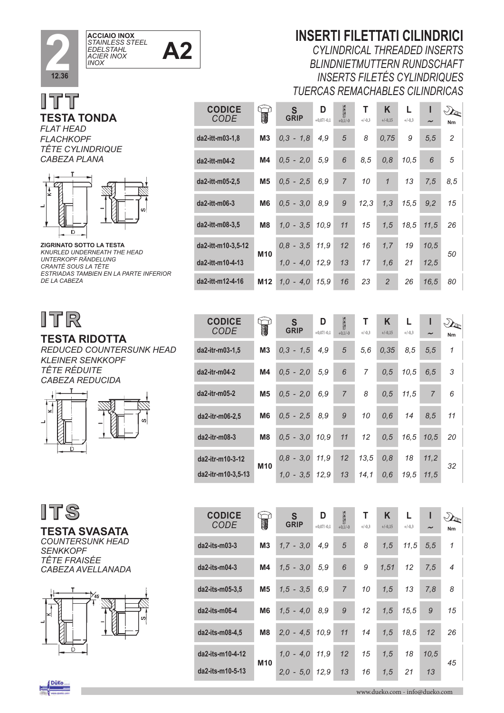





#### *FLAT HEAD FLACHKOPF TÊTE CYLINDRIQUE*



**ZIGRINATO SOTTO LA TESTA**  *KNURLED UNDERNEATH THE HEAD UNTERKOPF RÄNDELUNG CRANTÉ SOUS LA TÊTE ESTRIADAS TAMBIEN EN LA PARTE INFERIOR DE LA CABEZA*

# ITR

#### **TESTA RIDOTTA** *REDUCED COUNTERSUNK HEAD*

*KLEINER SENKKOPF TÊTE RÉDUITE CABEZA REDUCIDA*

**CODICE** *CODE*

**da2-itr-m03-1,5 M3** *0,3 - 1,5 4,9 5 5,6 0,35 8,5 5,5 1*

 $da2-itr-m04-2$ 

 $da2-itr-m05-2$ 

 $da2-itr-m06-2.5$ 

 $da2-itr-m08-3$ 

**da2-itr-m10-3-12**

**M10**



ITS

**TESTA SVASATA** *COUNTERSUNK HEAD SENKKOPF*

*TÊTE FRAISÉE CABEZA AVELLANADA*



| Nm                                                  |  |
|-----------------------------------------------------|--|
| $\overline{1}$                                      |  |
| -3                                                  |  |
| 6                                                   |  |
| $0,6$ 14 8,5 11                                     |  |
| $0.5 - 3.0$ $10.9$ $11$ $12$ $0.5$ $16.5$ $10.5$ 20 |  |
|                                                     |  |

*0,8 - 3,0 11,9 12 13,5 0,8 18 11,2*

#### *CYLINDRICAL THREADED INSERTS BLINDNIETMUTTERN RUNDSCHAFT INSERTS FILETÉS CYLINDRIQUES*

*TUERCAS REMACHABLES CILINDRICAS*

**INSERTI FILETTATI CILINDRICI** 

| <b>CODICE</b><br><b>CODE</b> | T               | S<br><b>GRIP</b> | D<br>$+0,07/-0,1$ | <b>ANGEL</b><br>$+0,1/-0$ | т<br>$+/-0,3$ | K<br>$+/-0,15$ | $+/-0,3$ | ı<br>$\sim$ | $\mathcal{L}_{\mathcal{C}}$<br>Nm |
|------------------------------|-----------------|------------------|-------------------|---------------------------|---------------|----------------|----------|-------------|-----------------------------------|
| da2-itt-m03-1,8              | M <sub>3</sub>  | $0,3 - 1,8$      | 4,9               | 5                         | 8             | 0,75           | 9        | 5, 5        | $\overline{c}$                    |
| da2-itt-m04-2                | M4              | $0,5 - 2,0$      | 5,9               | 6                         | 8.5           | 0, 8           | 10,5     | 6           | 5                                 |
| da2-itt-m05-2,5              | M <sub>5</sub>  | $0.5 - 2.5$      | 6.9               | $\overline{7}$            | 10            | $\mathcal I$   | 13       | 7,5         | 8,5                               |
| da2-itt-m06-3                | M <sub>6</sub>  | $0,5 - 3,0$      | 8.9               | 9                         | 12,3          | 1,3            | 15.5     | 9,2         | 15                                |
| da2-itt-m08-3,5              | M8              | $1,0 - 3,5$      | 10.9              | 11                        | 15            | 1,5            | 18.5     | 11,5        | 26                                |
| da2-itt-m10-3,5-12           | M <sub>10</sub> | $0,8 - 3,5$      | 11.9              | 12                        | 16            | 1,7            | 19       | 10,5        | 50                                |
| da2-itt-m10-4-13             |                 | $1.0 - 4.0$      | 12.9              | 13                        | 17            | 1.6            | 21       | 12.5        |                                   |
| da2-itt-m12-4-16             | M12             | $1.0 - 4.0$      | 15.9              | 16                        | 23            | 2              | 26       | 16.5        | 80                                |

**S**

 $\bigcirc$ 

**D**

 $\overline{g}$ 

| <b>CODICE</b><br>CODE | W               | S<br><b>GRIP</b> | D<br>$+0.07/-0.1$ | 200<br>$+0,1/-0$ | Т<br>$+/-0,3$ | Κ<br>$+/-0,15$ | L<br>$+/-0,3$ | ı<br>$\tilde{}$ | Nm                       |
|-----------------------|-----------------|------------------|-------------------|------------------|---------------|----------------|---------------|-----------------|--------------------------|
| $da2 - its-m03-3$     | M <sub>3</sub>  | $1.7 - 3.0$      | 4,9               | 5                | 8             | 1, 5           | 11,5          | 5, 5            | $\mathcal I$             |
| da2-its-m04-3         | M4              | $1,5 - 3,0$      | 5,9               | 6                | 9             | 1,51           | 12            | 7,5             | $\overline{\mathcal{A}}$ |
| da2-its-m05-3,5       | M <sub>5</sub>  | $1,5 - 3,5$      | 6,9               | $\overline{7}$   | 10            | 1,5            | 13            | 7,8             | 8                        |
| da2-its-m06-4         | M <sub>6</sub>  | $1.5 - 4.0$      | 8,9               | 9                | 12            | 1,5            | 15.5          | 9               | 15                       |
| da2-its-m08-4,5       | M <sub>8</sub>  | $2,0 - 4,5$      | 10,9              | 11               | 14            | 1,5            | 18.5          | 12              | 26                       |
| da2-its-m10-4-12      | M <sub>10</sub> | $1,0 - 4,0$      | 11,9              | 12               | 15            | 1,5            | 18            | 10.5            | 45                       |
| da2-its-m10-5-13      |                 | $2,0 - 5,0$      | 12,9              | 13               | 16            | 1,5            | 21            | 13              |                          |

**da2-itr-m10-3,5-13** *1,0 - 3,5 12,9 13 14,1 0,6 19,5 11,5*

*32*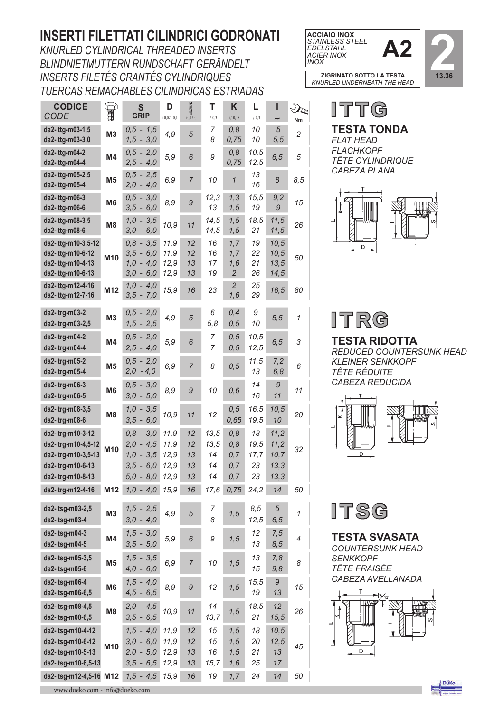### **INSERTI FILETTATI CILINDRICI GODRONATI**

*KNURLED CYLINDRICAL THREADED INSERTS BLINDNIETMUTTERN RUNDSCHAFT GERÄNDELT INSERTS FILETÉS CRANTÉS CYLINDRIQUES TUERCAS REMACHABLES CILINDRICAS ESTRIADAS*

|                         | S<br><b>GRIP</b>                                         | D<br>$+0,07/-0,1$                                                                                     |                      | т<br>$+/-0,3$                | Κ<br>$+/-0,15$                       | L<br>$+/-0,3$                       | ı                              | $\mathcal{D}_{\!\!\mathscr{C}}$<br>Nm |
|-------------------------|----------------------------------------------------------|-------------------------------------------------------------------------------------------------------|----------------------|------------------------------|--------------------------------------|-------------------------------------|--------------------------------|---------------------------------------|
| M <sub>3</sub>          | $0,5 - 1,5$                                              | 4,9                                                                                                   | 5                    | 7                            | 0,8                                  | 10                                  | $\sqrt{5}$                     | $\overline{c}$                        |
| M4                      | $0,5 - 2,0$                                              | 5,9                                                                                                   | 6                    | 9                            | 0,8                                  | 10,5                                | 6, 5                           | 5                                     |
| M <sub>5</sub>          | $0,5 - 2,5$                                              | 6,9                                                                                                   | $\overline{7}$       | 10                           | $\mathcal I$                         | 13<br>16                            | 8                              | 8,5                                   |
| M <sub>6</sub>          | $0,5 - 3,0$<br>$3,5 - 6,0$                               | 8,9                                                                                                   | 9                    | 12,3<br>13                   | 1,3<br>1, 5                          | 15,5<br>19                          | 9,2<br>9                       | 15                                    |
| M <sub>8</sub>          | $1,0 - 3,5$<br>$3,0 - 6,0$                               | 10,9                                                                                                  | 11                   | 14,5<br>14,5                 | 1, 5<br>1, 5                         | 18,5<br>21                          | 11,5<br>11,5                   | 26                                    |
| M10                     | $0,8 - 3,5$<br>$3,5 - 6,0$<br>$1,0 - 4,0$<br>$3,0 - 6,0$ | 11,9<br>11,9<br>12,9<br>12,9                                                                          | 12<br>12<br>13<br>13 | 16<br>16<br>17<br>19         | 1, 7<br>1,7<br>1,6<br>$\overline{2}$ | 19<br>22<br>21<br>26                | 10,5<br>10,5<br>13,5<br>14,5   | 50                                    |
| M12                     | $3,5 - 7,0$                                              | 15,9                                                                                                  | 16                   | 23                           | 2<br>1,6                             | 25<br>29                            | 16,5                           | 80                                    |
| M <sub>3</sub>          | $0,5 - 2,0$<br>$1,5 - 2,5$                               | 4,9                                                                                                   | $\sqrt{5}$           | 6<br>5,8                     | 0,4<br>0, 5                          | 9<br>10                             | 5, 5                           | 1                                     |
| M4                      | $0,5 - 2,0$<br>$2,5 - 4,0$                               | 5, 9                                                                                                  | 6                    | 7<br>7                       | 0, 5<br>0, 5                         | 10,5<br>12,5                        | 6, 5                           | 3                                     |
| M <sub>5</sub>          | $0,5 - 2,0$<br>$2,0 - 4,0$                               | 6,9                                                                                                   | $\overline{7}$       | 8                            | 0,5                                  | 11,5<br>13                          | 7,2<br>6,8                     | 6                                     |
| M6                      | $0,5 - 3,0$<br>$3,0 - 5,0$                               | 8,9                                                                                                   | 9                    | 10                           | 0,6                                  | 14<br>16                            | 9<br>11                        | 11                                    |
| M <sub>8</sub>          | $1,0 - 3,5$                                              | 10,9                                                                                                  | 11                   | 12                           | 0, 5                                 | 16,5                                | 10,5                           | 20                                    |
| M <sub>10</sub>         | $0,8 - 3,0$<br>$2,0 - 4,5$<br>$1,0 - 3,5$<br>$3,5 - 6,0$ | 11,9<br>11,9<br>12,9<br>12,9                                                                          | 12<br>12<br>13<br>13 | 13,5<br>13,5<br>14<br>14     | 0, 8<br>0, 8<br>0, 7<br>0, 7         | 18<br>19,5<br>17,7<br>23            | 11,2<br>11,2<br>10,7<br>13,3   | 32                                    |
| M12                     | $1,0 - 4,0$                                              | 15,9                                                                                                  | 16                   | 17,6                         | 0,75                                 | 24,2                                | 14                             | 50                                    |
| M <sub>3</sub>          | $1,5 - 2,5$<br>$3,0 - 4,0$                               | 4,9                                                                                                   | 5                    | 7<br>8                       | 1, 5                                 | 8,5<br>12,5                         | 5<br>6, 5                      | 1                                     |
| M4                      | $1,5 - 3,0$<br>$3,5 - 5,0$                               | 5,9                                                                                                   | 6                    | 9                            | 1, 5                                 | 12<br>13                            | 7,5<br>8,5                     | $\overline{4}$                        |
| M <sub>5</sub>          | $1,5 - 3,5$<br>$4,0 - 6,0$                               | 6,9                                                                                                   | $\overline{7}$       | 10                           | 1, 5                                 | 13<br>15                            | 7,8<br>9,8                     | 8                                     |
| M6                      | $1,5 - 4,0$<br>$4,5 - 6,5$                               | 8,9                                                                                                   | 9                    | 12                           | 1, 5                                 | 15,5<br>19                          | 9<br>13                        | 15                                    |
| M <sub>8</sub>          | $2,0 - 4,5$<br>$3,5 - 6,5$                               | 10,9                                                                                                  | 11                   | 14<br>13,7                   | 1, 5                                 | 18,5<br>21                          | 12                             | 26                                    |
| M10                     | $1,5 - 4,0$<br>$3,0 - 6,0$<br>$2,0 - 5,0$                | 11,9<br>11,9<br>12,9                                                                                  | 12<br>12<br>13       | 15<br>15<br>16               | 1,5<br>1,5<br>1,5                    | 18<br>20<br>21                      | 10,5<br>12,5<br>13             | 45                                    |
| da2-itsg-m12-4,5-16 M12 | $1,5 - 4,5$                                              | 15,9                                                                                                  | 16                   | 19                           | 1, 7                                 | 24                                  | 14                             | 50                                    |
|                         | T<br>da2-itsg-m10-6,5-13                                 | $1,5 - 3,0$<br>$2,5 - 4,0$<br>$2,0 - 4,0$<br>$1,0 - 4,0$<br>$3,5 - 6,0$<br>$5,0 - 8,0$<br>$3,5 - 6,5$ | 12,9<br>12,9         | $\sum_{+0,1/-0}$<br>13<br>13 | 8<br>14<br>15,7                      | 0,75<br>0,75<br>0,65<br>0, 7<br>1,6 | 10<br>12,5<br>19,5<br>23<br>25 | 5, 5<br>10<br>13,3<br>15,5<br>17      |



ITTG





**TESTA RIDOTTA**  *REDUCED COUNTERSUNK HEAD KLEINER SENKKOPF TÊTE RÉDUITE CABEZA REDUCIDA*





**TESTA SVASATA** 

*COUNTERSUNK HEAD SENKKOPF TÊTE FRAISÉE CABEZA AVELLANADA*



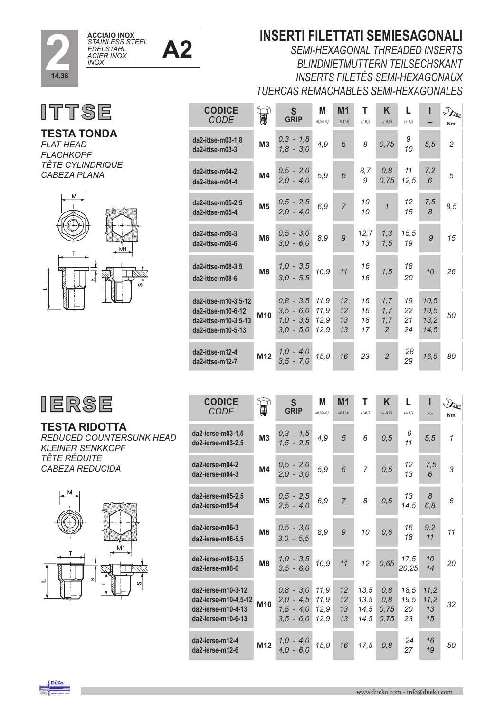



**TESTA TONDA**  *FLAT HEAD FLACHKOPF TÊTE CYLINDRIQUE CABEZA PLANA*



| . T |
|-----|
|-----|

#### **TESTA RIDOTTA**

*REDUCED COUNTERSUNK HEAD KLEINER SENKKOPF TÊTE RÉDUITE CABEZA REDUCIDA*



### **INSERTI FILETTATI SEMIESAGONALI**

*SEMI-HEXAGONAL THREADED INSERTS BLINDNIETMUTTERN TEILSECHSKANT INSERTS FILETÉS SEMI-HEXAGONAUX TUERCAS REMACHABLES SEMI-HEXAGONALES*

| <b>CODICE</b><br>CODE                                                                    |                 | S<br>GRIP                                                | Μ<br>$+0,07/-0,1$            | M <sub>1</sub><br>$+0.1/-0$ | т<br>$+/-0,3$        | K<br>$+/-0,15$         | L<br>$+/-0,3$        | $\tilde{\phantom{a}}$        | $\mathcal{D}_{\mathbf{G}}$<br>Nm |
|------------------------------------------------------------------------------------------|-----------------|----------------------------------------------------------|------------------------------|-----------------------------|----------------------|------------------------|----------------------|------------------------------|----------------------------------|
| da2-ittse-m03-1,8<br>da2-ittse-m03-3                                                     | <b>M3</b>       | $0,3 - 1,8$<br>$1,8 - 3,0$                               | 4,9                          | 5                           | 8                    | 0,75                   | 9<br>10              | 5, 5                         | $\overline{2}$                   |
| da2-ittse-m04-2<br>da2-ittse-m04-4                                                       | M <sub>4</sub>  | $0,5 - 2,0$<br>$2,0 - 4,0$                               | 5,9                          | 6                           | 8,7<br>9             | 0,8<br>0,75            | 11<br>12,5           | 7,2<br>6                     | 5                                |
| da2-ittse-m05-2.5<br>da2-ittse-m05-4                                                     | M <sub>5</sub>  | $0,5 - 2,5$<br>$2.0 - 4.0$                               | 6,9                          | $\overline{7}$              | 10<br>10             | $\mathbf{1}$           | 12<br>15             | 7,5<br>8                     | 8,5                              |
| da2-ittse-m06-3<br>da2-ittse-m06-6                                                       | M <sub>6</sub>  | $0,5 - 3,0$<br>$3,0 - 6,0$                               | 8,9                          | 9                           | 12,7<br>13           | 1,3<br>1,5             | 15,5<br>19           | 9                            | 15                               |
| da2-ittse-m08-3,5<br>da2-ittse-m08-6                                                     | M <sub>8</sub>  | $1,0 - 3,5$<br>$3,0 - 5,5$                               | 10,9                         | 11                          | 16<br>16             | 1, 5                   | 18<br>20             | 10                           | 26                               |
| da2-ittse-m10-3,5-12<br>da2-ittse-m10-6-12<br>da2-ittse-m10-3,5-13<br>da2-ittse-m10-5-13 | M10             | $0,8 - 3,5$<br>$3,5 - 6,0$<br>$1,0 - 3,5$<br>$3,0 - 5,0$ | 11,9<br>11,9<br>12,9<br>12,9 | 12<br>12<br>13<br>13        | 16<br>16<br>18<br>17 | 1.7<br>1,7<br>1,7<br>2 | 19<br>22<br>21<br>24 | 10,5<br>10,5<br>13,2<br>14,5 | 50                               |
| da2-ittse-m12-4<br>da2-ittse-m12-7                                                       | M <sub>12</sub> | $1,0 - 4,0$<br>$3,5 - 7,0$                               | 15,9                         | 16                          | 23                   | $\overline{2}$         | 28<br>29             | 16,5                         | 80                               |

| <b>CODICE</b><br><b>CODE</b>                                                           |                 | $\mathsf{S}$<br><b>GRIP</b>                              | M<br>$+0,07/-0,1$            | M <sub>1</sub><br>$+0.1/-0$ | T<br>$+/-0.3$                | K<br>$+/-0,15$             | L<br>$+/-0.3$            | $\tilde{\phantom{a}}$    | Nm           |
|----------------------------------------------------------------------------------------|-----------------|----------------------------------------------------------|------------------------------|-----------------------------|------------------------------|----------------------------|--------------------------|--------------------------|--------------|
| da2-ierse-m03-1,5<br>da2-ierse-m03-2,5                                                 | <b>M3</b>       | $0,3 - 1,5$<br>$1,5 - 2,5$                               | 4,9                          | 5                           | 6                            | 0, 5                       | 9<br>11                  | 5, 5                     | $\mathcal I$ |
| da2-ierse-m04-2<br>da2-ierse-m04-3                                                     | M4              | $0,5 - 2,0$<br>$2,0 - 3,0$                               | 5,9                          | 6                           | $\overline{7}$               | 0, 5                       | 12<br>13                 | 7,5<br>6                 | 3            |
| da2-ierse-m05-2,5<br>da2-ierse-m05-4                                                   | M <sub>5</sub>  | $0,5 - 2,5$<br>$2,5 - 4,0$                               | 6,9                          | $\overline{7}$              | 8                            | 0, 5                       | 13<br>14,5               | 8<br>6,8                 | 6            |
| da2-ierse-m06-3<br>da2-ierse-m06-5,5                                                   | M <sub>6</sub>  | $0,5 - 3,0$<br>$3,0 - 5,5$                               | 8,9                          | 9                           | 10                           | 0,6                        | 16<br>18                 | 9,2<br>11                | 11           |
| da2-ierse-m08-3,5<br>da2-ierse-m08-6                                                   | M <sub>8</sub>  | $1,0 - 3,5$<br>$3.5 - 6.0$                               | 10,9                         | 11                          | 12                           | 0,65                       | 17,5<br>20,25            | 10<br>14                 | 20           |
| da2-ierse-m10-3-12<br>da2-ierse-m10-4,5-12<br>da2-ierse-m10-4-13<br>da2-ierse-m10-6-13 | M10             | $0,8 - 3,0$<br>$2,0 - 4,5$<br>$1,5 - 4,0$<br>$3,5 - 6,0$ | 11,9<br>11,9<br>12,9<br>12,9 | 12<br>12<br>13<br>13        | 13,5<br>13,5<br>14,5<br>14,5 | 0.8<br>0.8<br>0,75<br>0,75 | 18,5<br>19,5<br>20<br>23 | 11,2<br>11,2<br>13<br>15 | 32           |
| da2-ierse-m12-4<br>da2-ierse-m12-6                                                     | M <sub>12</sub> | $1.0 - 4.0$<br>$4,0 - 6,0$                               | 15,9                         | 16                          | 17.5                         | 0,8                        | 24<br>27                 | 16<br>19                 | 50           |

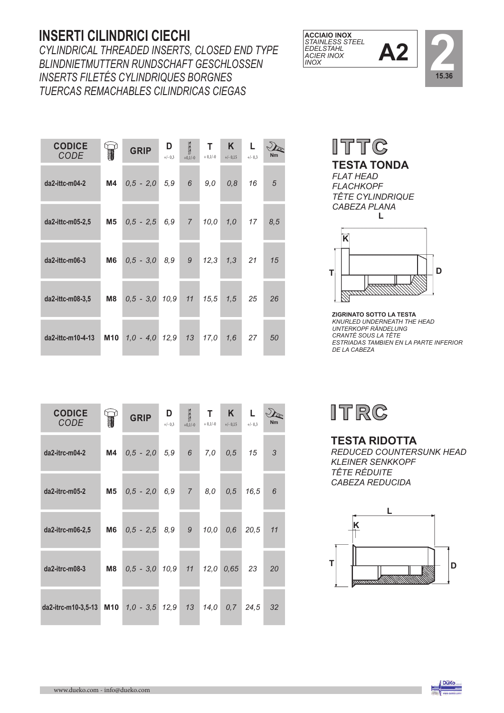### **INSERTI CILINDRICI CIECHI**

*CYLINDRICAL THREADED INSERTS, CLOSED END TYPE BLINDNIETMUTTERN RUNDSCHAFT GESCHLOSSEN INSERTS FILETÉS CYLINDRIQUES BORGNES TUERCAS REMACHABLES CILINDRICAS CIEGAS*

| <b>CODICE</b><br><b>CODE</b> |     | <b>GRIP</b>      | D<br>$+/- 0,3$ | 3<br>$+0,1/-0$ | T.<br>$+0,1/-0$ | $\mathsf{K}$<br>$+/- 0,15$ | L<br>$+/- 0.3$ | <b>Nm</b> |
|------------------------------|-----|------------------|----------------|----------------|-----------------|----------------------------|----------------|-----------|
| da2-ittc-m04-2               | M4  | $0,5 - 2,0$      | 5,9            | 6 <sup>6</sup> | 9,0             | 0,8                        | 16             | 5         |
| da2-ittc-m05-2,5             | M5  | $0,5 - 2,5 6,9$  |                |                | $7$ 10,0        | $1,0$ 17                   |                | 8,5       |
| da2-ittc-m06-3               | M6  | $0,5 - 3,0 8,9$  |                |                |                 | $9$ $12,3$ $1,3$           | 21             | 15        |
| $da2$ -ittc-m08-3,5          | M8  | $0,5 - 3,0 10,9$ |                |                | $11 \quad 15,5$ | 1,5                        | 25             | 26        |
| da2-ittc-m10-4-13            | M10 | $1,0 - 4,0 12,9$ |                | 13             | 17,0            | 1,6                        | 27             | 50        |

| <b>CODICE</b><br><b>CODE</b> |    | <b>GRIP</b>                 | D<br>$+/- 0,3$ | <b>ASSES</b><br>$+0,1/-0$ | $\mathsf{T}$<br>$+0,1/-0$ | K<br>$+/- 0.15$ | $\mathsf{L}$<br>$+/- 0,3$ | <b>Nm</b> |
|------------------------------|----|-----------------------------|----------------|---------------------------|---------------------------|-----------------|---------------------------|-----------|
| da2-itrc-m04-2               | M4 | $0,5 - 2,0 5,9$             |                | 6                         | 7,0                       | 0,5             | 15                        | 3         |
| da2-itrc-m05-2               | M5 | $0,5 - 2,0$                 | 6,9            | 7 <sup>7</sup>            | 8,0                       | 0, 5            | 16,5                      | 6         |
| da2-itrc-m06-2,5             | M6 | $0,5 - 2,5 8,9$             |                | 9                         | 10,0                      | 0,6             | 20.5                      | 11        |
| da2-itrc-m08-3               | M8 | $0,5 - 3,0 10,9$            |                | 11                        | 12,0                      | 0,65            | -23                       | 20        |
| da2-itrc-m10-3,5-13          |    | M10 $1,0 - 3,5$ $12,9$ $13$ |                |                           | 14,0                      | 0,7             | 24.5                      | 32        |





**TESTA TONDA** *FLAT HEAD FLACHKOPF TÊTE CYLINDRIQUE CABEZA PLANA* **L**



**ZIGRINATO SOTTO LA TESTA**  *KNURLED UNDERNEATH THE HEAD UNTERKOPF RÄNDELUNG CRANTÉ SOUS LA TÊTE ESTRIADAS TAMBIEN EN LA PARTE INFERIOR DE LA CABEZA*



#### **TESTA RIDOTTA**

*REDUCED COUNTERSUNK HEAD KLEINER SENKKOPF TÊTE RÉDUITE CABEZA REDUCIDA*



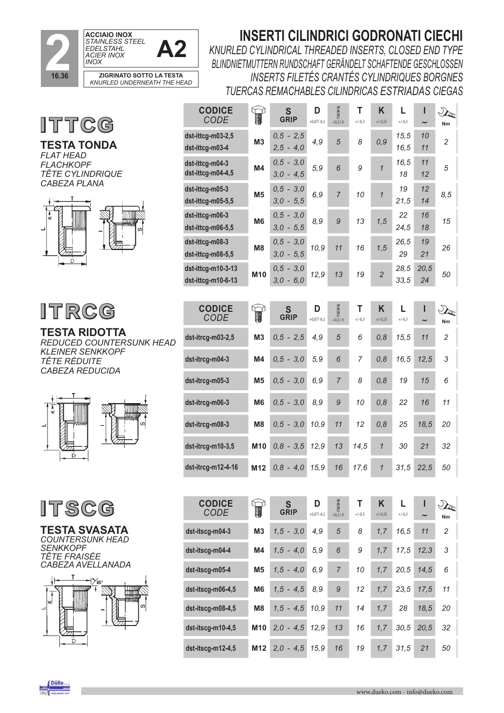

## **INSERTI CILINDRICI GODRONATI CIECHI**

*KNURLED CYLINDRICAL THREADED INSERTS, CLOSED END TYPE BLINDNIETMUTTERN RUNDSCHAFT GERÄNDELT SCHAFTENDE GESCHLOSSEN INSERTS FILETÉS CRANTÉS CYLINDRIQUES BORGNES TUERCAS REMACHABLES CILINDRICAS ESTRIADAS CIEGAS*

**ITTCG** 

**TESTA TONDA**  *FLAT HEAD FLACHKOPF TÊTE CYLINDRIQUE CABEZA PLANA* 



# **ITRGG**

**TESTA RIDOTTA**  *REDUCED COUNTERSUNK HEAD KLEINER SENKKOPF TÊTE RÉDUITE CABEZA REDUCIDA*





**TESTA SVASATA** *COUNTERSUNK HEAD SENKKOPF TÊTE FRAISÉE CABEZA AVELLANADA* 



| <b>CODE</b>                              | T              | S<br><b>GRIP</b>           | D<br>$+0,07/-0,1$ | $\sum_{+0,1/-0}$ | т<br>$+/-0,3$ | K<br>$+/-0,15$ | L<br>$+/-0.3$ | ı          | $\mathcal{D}$<br>Nm                        |
|------------------------------------------|----------------|----------------------------|-------------------|------------------|---------------|----------------|---------------|------------|--------------------------------------------|
| dst-ittcg-m03-2,5<br>dst-ittcg-m03-4     | M3             | $0,5 - 2,5$<br>$2,5 - 4,0$ | 4,9               | 5                | 8             | 0,9            | 15,5<br>16,5  | 10<br>11   | $\overline{c}$                             |
| dst-ittcg-m04-3<br>dst-ittcg-m04-4,5     | M4             | $0,5 - 3,0$<br>$3,0 - 4,5$ | 5,9               | 6                | 9             | $\mathbf{1}$   | 16,5<br>18    | 11<br>12   | 5                                          |
| dst-ittcg-m05-3<br>dst-ittcg-m05-5,5     | M <sub>5</sub> | $0,5 - 3,0$<br>$3,0 - 5,5$ | 6,9               | $\overline{7}$   | 10            | $\mathbf{1}$   | 19<br>21,5    | 12<br>14   | 8,5                                        |
| dst-ittcg-m06-3<br>dst-ittcg-m06-5,5     | M <sub>6</sub> | $0,5 - 3,0$<br>$3,0 - 5,5$ | 8,9               | 9                | 13            | 1,5            | 22<br>24,5    | 16<br>18   | 15                                         |
| dst-ittcg-m08-3<br>dst-ittcg-m08-5,5     | M <sub>8</sub> | $0,5 - 3,0$<br>$3,0 - 5,5$ | 10,9              | 11               | 16            | 1,5            | 26,5<br>29    | 19<br>21   | 26                                         |
| dst-ittcg-m10-3-13<br>dst-ittcg-m10-6-13 | M10            | $0,5 - 3,0$<br>$3,0 - 6,0$ | 12,9              | 13               | 19            | $\overline{2}$ | 28,5<br>33,5  | 20,5<br>24 | 50                                         |
|                                          |                |                            |                   |                  |               |                |               |            |                                            |
|                                          |                |                            |                   |                  |               |                |               |            |                                            |
| <b>CODICE</b><br><b>CODE</b>             | T              | S<br><b>GRIP</b>           | D<br>$+0,07/-0,1$ | $\sum_{+0,1/-0}$ | T<br>$+/-0,3$ | K<br>$+/-0,15$ | L<br>$+/-0,3$ | ı          | $\mathcal{D}_{\!\!\mathbf{\hat{z}}}$<br>Nm |
| dst-itrcg-m03-2,5                        | M3             | $0,5 -$<br>2,5             | 4,9               | 5                | 6             | 0, 8           | 15,5          | 11         | $\overline{c}$                             |
| dst-itrcg-m04-3                          | M4             | $0,5 - 3,0$                | 5,9               | 6                | 7             | 0, 8           | 16,5          | 12,5       | 3                                          |
| dst-itrcg-m05-3                          | M <sub>5</sub> | $0.5 -$<br>3,0             | 6,9               | $\overline{7}$   | 8             | 0, 8           | 19            | 15         | 6                                          |
| dst-itrcg-m06-3                          | M <sub>6</sub> | $0,5 -$<br>3,0             | 8,9               | 9                | 10            | 0, 8           | 22            | 16         | 11                                         |
| dst-itrcg-m08-3                          | M <sub>8</sub> | 3,0<br>$0,5 -$             | 10,9              | 11               | 12            | 0, 8           | 25            | 18,5       | 20                                         |
| dst-itrcg-m10-3,5                        | M10            | $0,8 -$<br>3, 5            | 12,9              | 13               | 14,5          | $\mathcal{I}$  | 30            | 21         | 32                                         |

| <b>CODICE</b><br><b>CODE</b> | THE R          | S<br><b>GRIP</b> | D<br>$+0,07/-0,1$ | Ø<br>$+0,1/-0$ | т<br>$+/-0,3$ | K<br>$+/-0,15$ | $+/-0,3$ | ı<br>$\tilde{}$ | $\mathcal{P}$<br>Nm |
|------------------------------|----------------|------------------|-------------------|----------------|---------------|----------------|----------|-----------------|---------------------|
| dst-itscg-m04-3              | M <sub>3</sub> | $1.5 - 3.0$      | 4,9               | 5              | 8             | 1, 7           | 16,5     | 11              | $\overline{2}$      |
| dst-itscg-m04-4              | M <sub>4</sub> | $1,5 - 4,0$      | 5,9               | 6              | 9             | 1,7            | 17.5     | 12,3            | 3                   |
| dst-itscg-m05-4              | M <sub>5</sub> | $1,5 - 4,0$      | 6,9               | $\overline{7}$ | 10            | 1,7            | 20,5     | 14.5            | 6                   |
| dst-itscg-m06-4,5            | M <sub>6</sub> | $1,5 - 4,5$      | 8,9               | 9              | 12            | 1, 7           | 23,5     | 17.5            | 11                  |
| $dst-itscg-m08-4,5$          | M8             | $1,5 - 4,5$      | 10.9              | 11             | 14            | 1.7            | 28       | 18,5            | 20                  |
| dst-itscg-m10-4,5            | <b>M10</b>     | $2,0 - 4,5$      | 12,9              | 13             | 16            | 1,7            | 30.5     | 20.5            | 32                  |
| $dst-itscq-m12-4,5$          | M12            | $2.0 - 4.5$      | 15.9              | 16             | 19            | 1,7            | 31.5     | 21              | 50                  |

**Düko** e.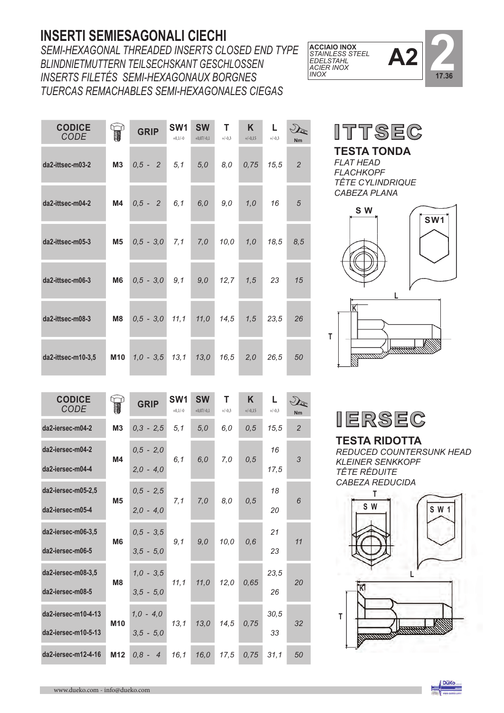#### **INSERTI SEMIESAGONALI CIECHI**

*SEMI-HEXAGONAL THREADED INSERTS CLOSED END TYPE BLINDNIETMUTTERN TEILSECHSKANT GESCHLOSSEN INSERTS FILETÉS SEMI-HEXAGONAUX BORGNES TUERCAS REMACHABLES SEMI-HEXAGONALES CIEGAS*

| <b>CODICE</b><br><b>CODE</b> |            | <b>GRIP</b> | SW <sub>1</sub><br>$+0,1/-0$ | <b>SW</b><br>$+0,07/-0,1$ | T<br>$+/-0,3$ | K.<br>$+/-0,15$ | Г<br>$+/-0,3$ | <b>Nm</b>      |
|------------------------------|------------|-------------|------------------------------|---------------------------|---------------|-----------------|---------------|----------------|
| da2-ittsec-m03-2             | M3         | $0,5 - 2$   | 5,1                          | 5,0                       | 8,0           | 0,75            | 15,5          | $\overline{2}$ |
| da2-ittsec-m04-2             | <b>M4</b>  | $0,5 - 2$   | 6,1                          | 6,0                       | 9,0           | 1,0             | 16            | $\overline{5}$ |
| da2-ittsec-m05-3             | M5         | $0,5 - 3,0$ | 7,1                          | 7,0                       | 10,0          | 1,0             | 18,5          | 8,5            |
| da2-ittsec-m06-3             | M6         | $0,5 - 3,0$ | 9,1                          | 9,0                       | 12,7          | 1,5             | 23            | 15             |
| da2-ittsec-m08-3             | M8         | $0,5 - 3,0$ | 11, 1                        | 11,0                      | 14,5          | 1,5             | 23,5          | 26             |
| da2-ittsec-m10-3,5           | <b>M10</b> | $1,0 - 3,5$ | 13,1                         | 13,0                      | 16,5          | 2,0             | 26,5          | 50             |

 $\mathcal{D}_{\mathbb{C}}$ **CODICE CODE SW1 SW T K L**  $+0.1/-0$  $+0.07/-0.1$  $+/-0.3$ +/-0,15  $+/-0,3$  **Nm da2-iersec-m04-2 M3** *0,3 - 2,5 5,1 5,0 6,0 0,5 15,5 2* **da2-iersec-m04-2** *0,5 - 2,0 16*  **M4** *6,1 6,0 7,0 0,5 3* **da2-iersec-m04-4** *2,0 - 4,0 17,5* **da2-iersec-m05-2,5** *0,5 - 2,5 18* **M5** *7,1 7,0 8,0 0,5 6* **da2-iersec-m05-4** *2,0 - 4,0 20* **da2-iersec-m06-3,5** *0,5 - 3,5 21* **M6** *9,1 9,0 10,0 0,6 11* **da2-iersec-m06-5** *3,5 - 5,0 23* **da2-iersec-m08-3,5** *1,0 - 3,5 23,5* **M8** *11,1 11,0 12,0 0,65 20* **da2-iersec-m08-5** *3,5 - 5,0 26* **da2-iersec-m10-4-13** *1,0 - 4,0 30,5* **M10** *13,1 13,0 14,5 0,75 32* **da2-iersec-m10-5-13** *3,5 - 5,0 33* **da2-iersec-m12-4-16 M12** *0,8 - 4 16,1 16,0 17,5 0,75 31,1 50*





**TESTA TONDA** *FLAT HEAD FLACHKOPF TÊTE CYLINDRIQUE CABEZA PLANA*





**TESTA RIDOTTA**  *REDUCED COUNTERSUNK HEAD KLEINER SENKKOPF TÊTE RÉDUITE CABEZA REDUCIDA*



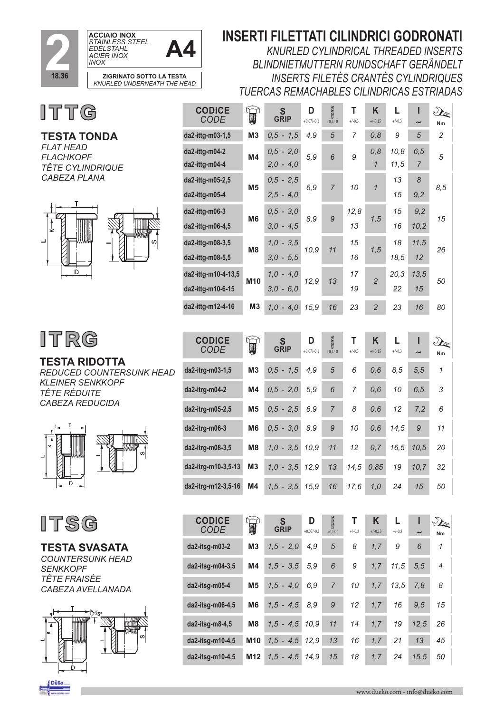

## **INSERTI FILETTATI CILINDRICI GODRONATI**

*KNURLED CYLINDRICAL THREADED INSERTS BLINDNIETMUTTERN RUNDSCHAFT GERÄNDELT INSERTS FILETÉS CRANTÉS CYLINDRIQUES TUERCAS REMACHABLES CILINDRICAS ESTRIADAS*



**TESTA TONDA**

**ITTG** 



#### **TESTA RIDOTTA**  *REDUCED COUNTERSUNK HEAD KLEINER SENKKOPF TÊTE RÉDUITE CABEZA REDUCIDA*





**TESTA SVASATA**  *COUNTERSUNK HEAD SENKKOPF TÊTE FRAISÉE CABEZA AVELLANADA*



| <b>CODICE</b><br><b>CODE</b>             | $\mathbb{R}$    | S<br><b>GRIP</b>           | D<br>$+0,07/-0,1$ | 200<br>$+0,1/-0$ | Т<br>$+/-0,3$ | K<br>$+/-0,15$         | L<br>$+/-0,3$ | ı           | $\mathcal{D}_{\mathbb{C}}$<br>Nm  |
|------------------------------------------|-----------------|----------------------------|-------------------|------------------|---------------|------------------------|---------------|-------------|-----------------------------------|
| da2-ittg-m03-1,5                         | M <sub>3</sub>  | $0,5 - 1,5$                | 4,9               | 5                | 7             | 0,8                    | 9             | 5           | 2                                 |
| da2-ittg-m04-2<br>da2-ittg-m04-4         | M4              | $0,5 - 2,0$<br>$2,0 - 4,0$ | 5,9               | 6                | 9             | 0, 8<br>$\overline{1}$ | 10,8<br>11,5  | 6, 5<br>7   | 5                                 |
| da2-ittg-m05-2,5<br>da2-ittg-m05-4       | M <sub>5</sub>  | $0,5 - 2,5$<br>$2,5 - 4,0$ | 6,9               | 7                | 10            | $\mathcal{I}$          | 13<br>15      | 8<br>9,2    | 8,5                               |
| da2-ittg-m06-3<br>da2-ittg-m06-4,5       | M6              | $0.5 - 3.0$<br>$3,0 - 4,5$ | 8,9               | 9                | 12,8<br>13    | 1,5                    | 15<br>16      | 9,2<br>10,2 | 15                                |
| da2-ittg-m08-3,5<br>da2-ittg-m08-5,5     | M8              | $1.0 - 3.5$<br>$3,0 - 5,5$ | 10,9              | 11               | 15<br>16      | 1, 5                   | 18<br>18,5    | 11,5<br>12  | 26                                |
| da2-ittg-m10-4-13,5<br>da2-ittg-m10-6-15 | M <sub>10</sub> | $1,0 - 4,0$<br>$3,0 - 6,0$ | 12,9              | 13               | 17<br>19      | $\overline{c}$         | 20,3<br>22    | 13,5<br>15  | 50                                |
| da2-ittg-m12-4-16                        | M <sub>3</sub>  | $1,0 - 4,0$                | 15,9              | 16               | 23            | $\overline{2}$         | 23            | 16          | 80                                |
|                                          |                 |                            |                   |                  |               |                        |               |             |                                   |
| <b>CODICE</b><br><b>CODE</b>             | $\mathbb{R}$    | S<br>GRIP                  | D<br>$+0,07/-0,1$ | 200<br>$+0,1/-0$ | Т<br>$+/-0,3$ | K<br>$+/-0,15$         | L<br>$+/-0,3$ | ı           | $\mathcal{D}_{\mathcal{C}}$<br>Nm |
| da2-itrg-m03-1,5                         | M <sub>3</sub>  | $0,5 - 1,5$                | 4,9               | 5                | 6             | 0,6                    | 8,5           | 5, 5        | 1                                 |
| da2-itrg-m04-2                           | M4              | $0,5 - 2,0$                | 5,9               | 6                | 7             | 0,6                    | 10            | 6, 5        | 3                                 |
| da2-itrg-m05-2,5                         | <b>M5</b>       | $0,5 - 2,5$                | 6,9               | $\overline{7}$   | 8             | 0,6                    | 12            | 7,2         | 6                                 |
| da2-itrg-m06-3                           | M <sub>6</sub>  | $0,5 - 3,0$                | 8,9               | 9                | 10            | 0,6                    | 14,5          | 9           | 11                                |
| da2-itrg-m08-3,5                         | M <sub>8</sub>  | $1,0 - 3,5$                | 10,9              | 11               | 12            | 0,7                    | 16,5          | 10,5        | 20                                |
| da2-itrg-m10-3,5-13                      | M3              | $1,0 - 3,5$                | 12,9              | 13               | 14,5          | 0,85                   | 19            | 10,7        | 32                                |
| da2-itrg-m12-3,5-16                      | M4              | $1, 5 - 3, 5$              | 15,9              | 16               | 17,6          | 1,0                    | 24            | 15          | 50                                |
|                                          |                 |                            |                   |                  |               |                        |               |             |                                   |

| <b>CODICE</b><br>CODE | 1               | S<br><b>GRIP</b> | D<br>$+0,07/-0,1$ | Ø<br>$+0,1/-0$ | $+/-0,3$ | K<br>$+/-0,15$ | $+/-0,3$ | $\tilde{}$ | $\mathcal{P}$<br>Nm |
|-----------------------|-----------------|------------------|-------------------|----------------|----------|----------------|----------|------------|---------------------|
| da2-itsq-m03-2        | M <sub>3</sub>  | $1,5 - 2,0$      | 4,9               | 5              | 8        | 1,7            | 9        | 6          | 1                   |
| da2-itsg-m04-3,5      | M4              | $1,5 - 3,5$      | 5,9               | 6              | 9        | 1,7            | 11.5     | 5,5        | $\overline{4}$      |
| da2-itsg-m05-4        | M <sub>5</sub>  | $1.5 - 4.0$      | 6,9               | $\overline{7}$ | 10       | 1,7            | 13.5     | 7.8        | 8                   |
| da2-itsq-m06-4,5      | M <sub>6</sub>  | $1,5 - 4,5$      | 8,9               | 9              | 12       | 1,7            | 16       | 9.5        | 15                  |
| da2-itsg-m8-4,5       | M <sub>8</sub>  | $1,5 - 4,5$      | 10,9              | 11             | 14       | 1,7            | 19       | 12,5       | 26                  |
| da2-itsg-m10-4,5      | M10             | $1,5 - 4,5$      | 12.9              | 13             | 16       | 1,7            | 21       | 13         | 45                  |
| da2-itsq-m10-4,5      | M <sub>12</sub> | $1.5 - 4.5$      | 14.9              | 15             | 18       | 1.7            | 24       | 15.5       | 50                  |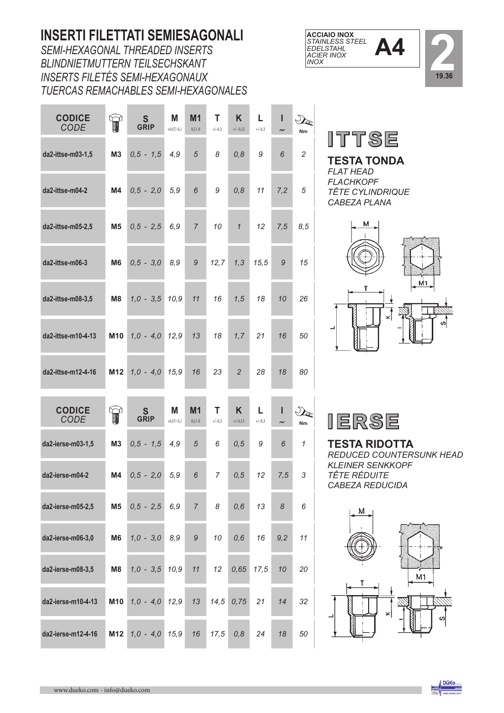## **INSERTI FILETTATI SEMIESAGONALI**

*SEMI-HEXAGONAL THREADED INSERTS BLINDNIETMUTTERN TEILSECHSKANT INSERTS FILETÉS SEMI-HEXAGONAUX TUERCAS REMACHABLES SEMI-HEXAGONALES*

**Contract** 

**Contract** 

| <b>CODICE</b><br><b>CODE</b> | $\mathbb{R}$    | $\mathbf S$<br><b>GRIP</b> | M<br>$+0,07/-0,1$ | M <sub>1</sub><br>$0,1/-0$ | т<br>$+/-0,3$  | Κ<br>$+/- 0,15$ | L<br>$+/-0,3$ | ı   | $\sqrt{2}$<br>Nm                  |
|------------------------------|-----------------|----------------------------|-------------------|----------------------------|----------------|-----------------|---------------|-----|-----------------------------------|
| da2-ittse-m03-1,5            | M <sub>3</sub>  | $0,5 - 1,5$                | 4,9               | 5                          | 8              | 0, 8            | 9             | 6   | $\overline{c}$                    |
| da2-ittse-m04-2              | M4              | $0,5 - 2,0$                | 5,9               | 6                          | 9              | 0, 8            | 11            | 7,2 | 5                                 |
| da2-ittse-m05-2,5            | M <sub>5</sub>  | $0,5 - 2,5$                | 6,9               | $\overline{7}$             | 10             | $\mathbf{1}$    | 12            | 7,5 | 8,5                               |
| da2-ittse-m06-3              | M <sub>6</sub>  | $0,5 - 3,0$                | 8,9               | 9                          | 12,7           | 1,3             | 15,5          | 9   | 15                                |
| da2-ittse-m08-3,5            | M <sub>8</sub>  | $1,0 - 3,5$                | 10,9              | 11                         | 16             | 1,5             | 18            | 10  | 26                                |
| da2-ittse-m10-4-13           | M <sub>10</sub> | $1,0 - 4,0$                | 12,9              | 13                         | 18             | 1,7             | 21            | 16  | 50                                |
| da2-ittse-m12-4-16           | M <sub>12</sub> | $1,0 - 4,0$                | 15,9              | 16                         | 23             | $\overline{2}$  | 28            | 18  | 80                                |
| <b>CODICE</b><br>CODE        | T               | S<br>GRIP                  | Μ<br>$+0,07/-0,1$ | M <sub>1</sub><br>$0,1/-0$ | Т<br>$+/-0,3$  | Κ<br>$+/-0,15$  | L<br>$+/-0,3$ | ı   | $\mathcal{D}_{\mathcal{C}}$<br>Nm |
| da2-ierse-m03-1,5            | M <sub>3</sub>  | $0,5 - 1,5$                | 4,9               | $\sqrt{5}$                 | 6              | 0, 5            | 9             | 6   | 1                                 |
| da2-ierse-m04-2              | M4              | $0,5 - 2,0$                | 5,9               | 6                          | $\overline{7}$ | 0, 5            | 12            | 7,5 | 3                                 |
| da2-ierse-m05-2,5            | M <sub>5</sub>  | $0,5 - 2,5$                | 6,9               | $\overline{7}$             | 8              | 0,6             | 13            | 8   | 6                                 |
| da2-ierse-m06-3,0            | M <sub>6</sub>  | $1,0 - 3,0$                | 8,9               | 9                          | 10             | 0,6             | 16            | 9,2 | 11                                |
| da2-ierse-m08-3,5            | M8              | $1,0 - 3,5$                | 10,9              | 11                         | 12             | 0,65            | 17,5          | 10  | 20                                |
| da2-ierse-m10-4-13           | M10             | $1,0 - 4,0$                | 12,9              | 13                         | 14,5           | 0,75            | 21            | 14  | 32                                |
| da2-ierse-m12-4-16           | M12             | $1,0 - 4,0$                | 15,9              | 16                         | 17,5           | 0, 8            | 24            | 18  | 50                                |





**TESTA TONDA**  *FLAT HEAD FLACHKOPF TÊTE CYLINDRIQUE CABEZA PLANA*



|--|

**TESTA RIDOTTA** *REDUCED COUNTERSUNK HEAD KLEINER SENKKOPF TÊTE RÉDUITE CABEZA REDUCIDA*



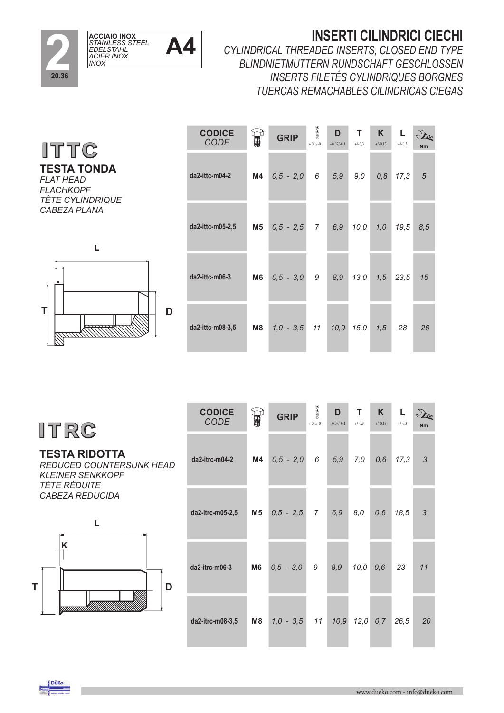

#### **INSERTI CILINDRICI CIECHI**

*CYLINDRICAL THREADED INSERTS, CLOSED END TYPE BLINDNIETMUTTERN RUNDSCHAFT GESCHLOSSEN INSERTS FILETÉS CYLINDRIQUES BORGNES TUERCAS REMACHABLES CILINDRICAS CIEGAS*

3  $\begin{array}{c|c}\nL & \downarrow\n\end{array}$ *CODE* **GRIP L CODICE D T K** +/-0,15  $+ 0, 1/-0$  $+0,07/-0,1$  $+/-0.3$ **da2-ittc-m04-2 M4** *0,5 - 2,0 6 5,9 9,0 0,8 17,3 5* **da2-ittc-m05-2,5 M5** *0,5 - 2,5 7 6,9 10,0 1,0 19,5 8,5* **da2-ittc-m06-3 M6** *0,5 - 3,0 9 8,9 13,0 1,5 23,5 15* **D da2-ittc-m08-3,5 M8** *1,0 - 3,5 11 10,9 15,0 1,5 28 26*

**ITRG** 

**TESTA RIDOTTA**  *REDUCED COUNTERSUNK HEAD KLEINER SENKKOPF TÊTE RÉDUITE CABEZA REDUCIDA*



| <b>CODICE</b><br>CODE |    | <b>GRIP</b>                                                   | <b>Reason</b><br>$+0,1/-0$ | D<br>$+0,07/-0,1$ | T<br>$+/-0,3$ | K<br>$+/-0,15$ | L.<br>$+/-0,3$ | <b>Nm</b>  |
|-----------------------|----|---------------------------------------------------------------|----------------------------|-------------------|---------------|----------------|----------------|------------|
| da2-itrc-m04-2        | M4 | $0,5 - 2,0$                                                   | 6                          | 5,9               | 7,0           | 0,6            | 17,3           | $\sqrt{3}$ |
| da2-itrc-m05-2,5      | M5 | $0,5 - 2,5 7$                                                 |                            | 6,9               | 8,0           | 0,6            | 18,5           | 3          |
| da2-itrc-m06-3        | M6 | $0,5 - 3,0$                                                   | 9                          | 8,9               | 10,0          | 0,6            | 23             | 11         |
| da2-itrc-m08-3,5      |    | <b>M8</b> $\begin{bmatrix} 1, 0 & -3.5 \end{bmatrix}$ 11 10,9 |                            |                   |               | $12,0$ 0,7     | 26,5           | 20         |

**ITTG** 

**TESTA TONDA** *FLAT HEAD FLACHKOPF TÊTE CYLINDRIQUE*

*CABEZA PLANA*

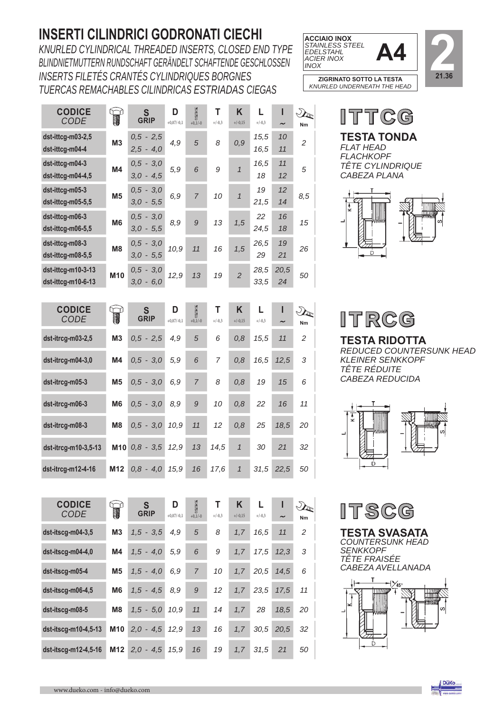## **INSERTI CILINDRICI GODRONATI CIECHI**

*KNURLED CYLINDRICAL THREADED INSERTS, CLOSED END TYPE BLINDNIETMUTTERN RUNDSCHAFT GERÄNDELT SCHAFTENDE GESCHLOSSEN INSERTS FILETÉS CRANTÉS CYLINDRIQUES BORGNES TUERCAS REMACHABLES CILINDRICAS ESTRIADAS CIEGAS*



*KNURLED UNDERNEATH THE HEAD*



| <b>CODICE</b><br>CODE                                                    | W.              | S<br><b>GRIP</b>                                      | D<br>$+0.07/-0.1$ | <b>ASSESS</b><br>$+0,1/-0$ | Т<br>$+/-0.3$ | Κ<br>$+/-0.15$ | L<br>$+/-0.3$ | ı<br>$\tilde{}$ | Nm             |
|--------------------------------------------------------------------------|-----------------|-------------------------------------------------------|-------------------|----------------------------|---------------|----------------|---------------|-----------------|----------------|
| dst-ittcg-m03-2,5<br>dst-ittcg-m04-4                                     | M <sub>3</sub>  | $0,5 - 2,5$<br>$2.5 - 4.0$                            | 4,9               | 5                          | 8             | 0,9            | 15,5<br>16,5  | 10<br>11        | $\overline{2}$ |
| dst-ittcg-m04-3<br>$dst-ittcg-m04-4,5$                                   | M <sub>4</sub>  | 3,0<br>0,5<br>$\overline{\phantom{a}}$<br>$3.0 - 4.5$ | 5,9               | 6                          | 9             | $\mathbf{1}$   | 16,5<br>18    | 11<br>12        | 5              |
| dst-ittcg-m05-3<br>dst-ittcg-m05-5,5                                     | M <sub>5</sub>  | 3,0<br>$0,5 -$<br>$3.0 - 5.5$                         | 6,9               | $\overline{7}$             | 10            | $\mathcal{I}$  | 19<br>21,5    | 12<br>14        | 8,5            |
| dst-ittcg-m06-3<br>$dst\text{-}ittcg\text{-}m06-5,5$                     | M <sub>6</sub>  | 3,0<br>0,5<br>$\overline{\phantom{a}}$<br>$3.0 - 5.5$ | 8,9               | 9                          | 13            | 1,5            | 22<br>24,5    | 16<br>18        | 15             |
| dst-ittcg-m08-3<br>dst-ittcg-m08-5,5                                     | M <sub>8</sub>  | $0,5 - 3,0$<br>$3.0 - 5.5$                            | 10,9              | 11                         | 16            | 1,5            | 26,5<br>29    | 19<br>21        | 26             |
| $dst-ittcg-m10-3-13$<br>$dst\text{-}ittcg\text{-}m10\text{-}6\text{-}13$ | M <sub>10</sub> | 3,0<br>0,5<br>$\overline{\phantom{a}}$<br>$3,0 - 6,0$ | 12,9              | 13                         | 19            | $\overline{2}$ | 28,5<br>33,5  | 20,5<br>24      | 50             |

| <b>CODICE</b><br>CODE | T               | S<br><b>GRIP</b>  | D<br>$+0,07/-0,1$ | <b>AND</b><br>$+0,1/-0$ | Т<br>$+/-0.3$ | K<br>$+/-0,15$ | $+/-0.3$ | $\tilde{\phantom{a}}$ | $\mathcal{D}_{\mathbb{R}}$<br>Nm |
|-----------------------|-----------------|-------------------|-------------------|-------------------------|---------------|----------------|----------|-----------------------|----------------------------------|
| dst-itrcg-m03-2,5     | M <sub>3</sub>  | $0.5 - 2.5$       | 4,9               | 5                       | 6             | 0,8            | 15,5     | 11                    | 2                                |
| dst-itrcg-m04-3,0     | M4              | $0.5 - 3.0$       | 5,9               | 6                       | 7             | 0,8            | 16,5     | 12,5                  | 3                                |
| dst-itrcg-m05-3       | M <sub>5</sub>  | $0.5 - 3.0$       | 6,9               | $\overline{7}$          | 8             | 0,8            | 19       | 15                    | 6                                |
| dst-itrcg-m06-3       | M <sub>6</sub>  | $0.5 - 3.0$       | 8,9               | 9                       | 10            | 0,8            | 22       | 16                    | 11                               |
| dst-itrcg-m08-3       | M <sub>8</sub>  | $0.5 - 3.0$       | 10,9              | 11                      | 12            | 0,8            | 25       | 18,5                  | 20                               |
| dst-itrcg-m10-3,5-13  |                 | $M10$ $0.8 - 3.5$ | 12,9              | 13                      | 14,5          | $\overline{1}$ | 30       | 21                    | 32                               |
| $dst-itrcg-m12-4-16$  | M <sub>12</sub> | $0.8 - 4.0$       | 15.9              | 16                      | 17.6          | $\mathbf{1}$   | 31.5     | 22.5                  | 50                               |

| <b>CODICE</b><br>CODE | T              | S<br><b>GRIP</b> | D<br>$+0,07/-0,1$ | <b>BASE</b><br>$+0,1/-0$ | Т<br>$+/-0,3$ | K<br>$+/-0,15$ | $+/-0,3$ | ı<br>$\tilde{}$ | $\mathcal{P}$<br>Nm |
|-----------------------|----------------|------------------|-------------------|--------------------------|---------------|----------------|----------|-----------------|---------------------|
| $dst-itscg-m04-3,5$   | M <sub>3</sub> | $1,5 - 3,5$      | 4,9               | 5                        | 8             | 1,7            | 16.5     | 11              | 2                   |
| dst-itscg-m04-4,0     | M4             | $1,5 - 4,0$      | 5,9               | 6                        | 9             | 1.7            | 17,5     | 12,3            | 3                   |
| dst-itscg-m05-4       | M <sub>5</sub> | $1,5 - 4,0$      | 6,9               | $\overline{7}$           | 10            | 1,7            | 20,5     | 14,5            | 6                   |
| dst-itscg-m06-4,5     | M <sub>6</sub> | $1,5 - 4,5$      | 8,9               | 9                        | 12            | 1.7            | 23.5     | 17.5            | 11                  |
| dst-itscg-m08-5       | M <sub>8</sub> | $1,5 - 5,0$      | 10,9              | 11                       | 14            | 1,7            | 28       | 18,5            | 20                  |
| dst-itscg-m10-4,5-13  | <b>M10</b>     | $2,0 - 4,5$      | 12,9              | 13                       | 16            | 1,7            | 30,5     | 20,5            | 32                  |
| dst-itscq-m12-4,5-16  | M12            | $2.0 - 4.5$      | 15.9              | 16                       | 19            | 1.7            | 31.5     | 21              | 50                  |

**TESTA TONDA**  *FLAT HEAD FLACHKOPF TÊTE CYLINDRIQUE CABEZA PLANA*  ITTCG **CODICE**



ITRCG

**TESTA RIDOTTA**  *REDUCED COUNTERSUNK HEAD KLEINER SENKKOPF TÊTE RÉDUITE CABEZA REDUCIDA*





**TESTA SVASATA** *COUNTERSUNK HEAD SENKKOPF TÊTE FRAISÉE CABEZA AVELLANADA* 



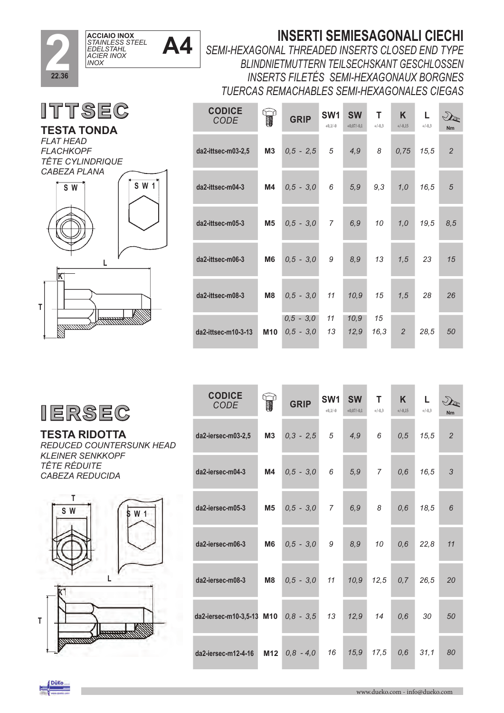

**ITTSEC** 

**TESTA TONDA**

*FLAT HEAD*

## **INSERTI SEMIESAGONALI CIECHI**

*SEMI-HEXAGONAL THREADED INSERTS CLOSED END TYPE BLINDNIETMUTTERN TEILSECHSKANT GESCHLOSSEN INSERTS FILETÉS SEMI-HEXAGONAUX BORGNES TUERCAS REMACHABLES SEMI-HEXAGONALES CIEGAS*

| <b>CODICE</b><br><b>CODE</b> |                | <b>GRIP</b>                | SW <sub>1</sub><br>$+0.1/-0$ | <b>SW</b><br>$+0,07/-0,1$ | т<br>$+/-0.3$ | K<br>$+/-0.15$ | L.<br>$+/-0.3$ | VE<br><b>Nm</b> |
|------------------------------|----------------|----------------------------|------------------------------|---------------------------|---------------|----------------|----------------|-----------------|
| da2-ittsec-m03-2,5           | M3             | $0,5 - 2,5$                | 5                            | 4,9                       | 8             | 0,75           | 15,5           | $\overline{2}$  |
| da2-ittsec-m04-3             | M4             | $0,5 - 3,0$                | 6                            | 5,9                       | 9,3           | 1,0            | 16.5           | 5               |
| da2-ittsec-m05-3             | <b>M5</b>      | $0,5 - 3,0$                | $\overline{7}$               | 6, 9                      | 10            | 1,0            | 19,5           | 8,5             |
| da2-ittsec-m06-3             | M <sub>6</sub> | $0,5 - 3,0$                | 9                            | 8,9                       | 13            | 1,5            | 23             | 15              |
| da2-ittsec-m08-3             | M <sub>8</sub> | $0,5 - 3,0$                | 11                           | 10,9                      | 15            | 1,5            | 28             | 26              |
| da2-ittsec-m10-3-13          | <b>M10</b>     | $0.5 - 3.0$<br>$0,5 - 3,0$ | 11<br>13                     | 10,9<br>12,9              | 15<br>16,3    | $\overline{2}$ | 28,5           | 50              |

*FLACHKOPF TÊTE CYLINDRIQUE CABEZA PLANA*  **S W 1 T L K S W** 

#### **TESTA RIDOTTA**  *REDUCED COUNTERSUNK HEAD KLEINER SENKKOPF TÊTE RÉDUITE CABEZA REDUCIDA*





| <b>CODICE</b><br><b>CODE</b> | T               | <b>GRIP</b> | SW <sub>1</sub><br>$+0,1/-0$ | <b>SW</b><br>$+0,07/-0,1$ | т<br>$+/-0,3$  | K.<br>$+/-0,15$ | L<br>$+/-0,3$ | $\mathcal{D}_{\mathbb{Z}}$<br><b>Nm</b> |
|------------------------------|-----------------|-------------|------------------------------|---------------------------|----------------|-----------------|---------------|-----------------------------------------|
| da2-iersec-m03-2,5           | M <sub>3</sub>  | $0,3 - 2,5$ | 5                            | 4.9                       | 6              | 0,5             | 15.5          | $\overline{2}$                          |
| da2-iersec-m04-3             | M4              | $0,5 - 3,0$ | 6                            | 5,9                       | $\overline{7}$ | 0,6             | 16,5          | 3                                       |
| da2-iersec-m05-3             | <b>M5</b>       | $0,5 - 3,0$ | $\overline{7}$               | 6,9                       | 8              | 0,6             | 18,5          | 6                                       |
| da2-iersec-m06-3             | M <sub>6</sub>  | $0,5 - 3,0$ | 9                            | 8,9                       | 10             | 0,6             | 22,8          | 11                                      |
| da2-iersec-m08-3             | M <sub>8</sub>  | $0,5 - 3,0$ | 11                           | 10,9                      | 12,5           | 0, 7            | 26,5          | 20                                      |
| da2-iersec-m10-3,5-13 M10    |                 | $0,8 - 3,5$ | 13                           | 12,9                      | 14             | 0,6             | 30            | 50                                      |
| da2-iersec-m12-4-16          | M <sub>12</sub> | $0,8 - 4,0$ | 16                           | 15,9                      | 17.5           | 0,6             | 31,1          | 80                                      |

복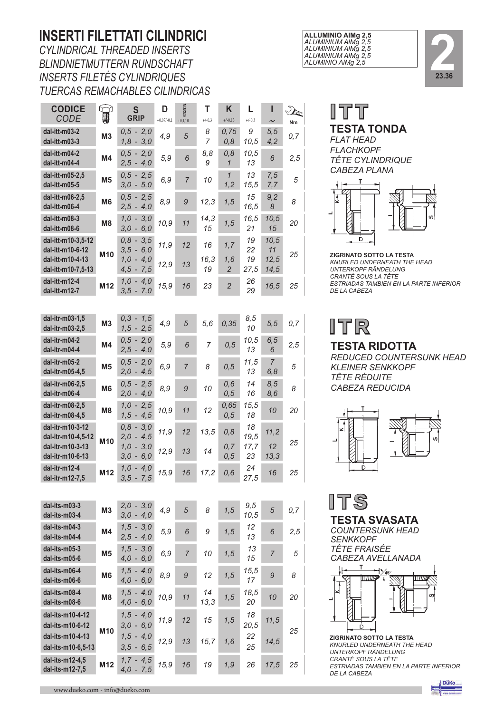### **INSERTI FILETTATI CILINDRICI**

*CYLINDRICAL THREADED INSERTS BLINDNIETMUTTERN RUNDSCHAFT INSERTS FILETÉS CYLINDRIQUES TUERCAS REMACHABLES CILINDRICAS*

| <b>CODICE</b><br><b>CODE</b>                               | ໝ<br>1         | S<br><b>GRIP</b>           | D                   | g              | Т              | Κ                     | L.               |                               | $\gamma_{\rm k}$ |  |
|------------------------------------------------------------|----------------|----------------------------|---------------------|----------------|----------------|-----------------------|------------------|-------------------------------|------------------|--|
| dal-itt-m03-2                                              | M <sub>3</sub> | $0,5 - 2,0$                | $+0,07/-0,1$<br>4,9 | $+0,1/-0$<br>5 | $+/-0,3$<br>8  | $+/-0,15$<br>0,75     | $+/-0,3$<br>9    | $\tilde{\phantom{a}}$<br>5, 5 | Nm<br>0, 7       |  |
| dal-itt-m03-3                                              |                | $1,8 - 3,0$                |                     |                | 7              | 0, 8                  | 10,5             | 4,2                           |                  |  |
| dal-itt-m04-2<br>dal-itt-m04-4                             | M4             | $0,5 - 2,0$<br>$2,5 - 4,0$ | 5,9                 | 6              | 8,8<br>9       | 0, 8<br>$\mathbf{1}$  | 10,5<br>13       | 6                             | 2,5              |  |
| dal-itt-m05-2,5<br>dal-itt-m05-5                           | M <sub>5</sub> | $0,5 - 2,5$<br>$3,0 - 5,0$ | 6,9                 | 7              | 10             | $\mathcal I$<br>1,2   | 13<br>15,5       | 7,5<br>7,7                    | 5                |  |
| dal-itt-m06-2,5<br>dal-itt-m06-4                           | M <sub>6</sub> | $0,5 - 2,5$<br>$2,5 - 4,0$ | 8,9                 | 9              | 12,3           | 1, 5                  | 15<br>16,5       | 9,2<br>$\boldsymbol{8}$       | 8                |  |
| dal-itt-m08-3<br>dal-itt-m08-6                             | M <sub>8</sub> | $1,0 - 3,0$<br>$3,0 - 6,0$ | 10,9                | 11             | 14,3<br>15     | 1,5                   | 16,5<br>21       | 10,5<br>15                    | 20               |  |
| dal-itt-m10-3,5-12<br>dal-itt-m10-6-12                     |                | $0,8 - 3,5$<br>$3,5 - 6,0$ | 11,9                | 12             | 16             | 1, 7                  | 19<br>22         | 10,5<br>11                    |                  |  |
| dal-itt-m10-4-13<br>dal-itt-m10-7,5-13                     | M10            | $1,0 - 4,0$<br>$4,5 - 7,5$ | 12,9                | 13             | 16,3<br>19     | 1,6<br>$\overline{2}$ | 19<br>27,5       | 12,5<br>14,5                  | 25               |  |
| dal-itt-m12-4<br>dal-itt-m12-7                             | M12            | $1,0 - 4,0$<br>$3,5 - 7,0$ | 15,9                | 16             | 23             | $\overline{c}$        | 26<br>29         | 16,5                          | 25               |  |
|                                                            |                |                            |                     |                |                |                       |                  |                               |                  |  |
| dal-itr-m03-1,5<br>dal-itr-m03-2,5                         | M <sub>3</sub> | $0,3 - 1,5$<br>$1,5 - 2,5$ | 4,9                 | 5              | 5,6            | 0,35                  | 8,5<br>10        | 5, 5                          | 0, 7             |  |
| dal-itr-m04-2<br>dal-itr-m04-4                             | M4             | $0,5 - 2,0$<br>$2,5 - 4,0$ | 5,9                 | 6              | $\overline{7}$ | 0, 5                  | 10,5<br>13       | 6, 5<br>6                     | 2,5              |  |
| dal-itr-m05-2<br>dal-itr-m05-4,5                           | M <sub>5</sub> | $0,5 - 2,0$<br>$2,0 - 4,5$ | 6,9                 | $\overline{7}$ | 8              | 0, 5                  | 11,5<br>13       | 7<br>6,8                      | 5                |  |
| dal-itr-m06-2,5<br>dal-itr-m06-4                           | M <sub>6</sub> | $0,5 - 2,5$<br>$2,0 - 4,0$ | 8,9                 | 9              | 10             | 0,6<br>0, 5           | 14<br>16         | 8,5<br>8, 6                   | 8                |  |
| dal-itr-m08-2,5<br>dal-itr-m08-4,5                         | M8             | $1,0 - 2,5$<br>$1,5 - 4,5$ | 10,9                | 11             | 12             | 0,65<br>0, 5          | 15,5<br>18       | 10                            | 20               |  |
| dal-itr-m10-3-12<br>dal-itr-m10-4,5-12                     |                | $0,8 - 3,0$<br>$2,0 - 4,5$ | 11,9                | 12             | 13,5           | 0, 8                  | 18<br>19,5       | 11,2                          |                  |  |
| dal-itr-m10-3-13<br>dal-itr-m10-6-13                       | M10            | $1,0 - 3,0$<br>$3,0 - 6,0$ | 12,9                | 13             | 14             | 0,7<br>0, 5           | 17,7<br>23       | 12<br>13,3                    | 25               |  |
| dal-itr-m12-4<br>dal-itr-m12-7,5                           | M12            | $1,0 - 4,0$<br>$3,5 - 7,5$ | 15,9                | 16             | 17,2           | 0,6                   | 24<br>27,5       | 16                            | 25               |  |
|                                                            |                |                            |                     |                |                |                       |                  |                               |                  |  |
| dal-its-m03-3<br>dal-its-m03-4                             | M <sub>3</sub> | $2,0 - 3,0$<br>$3,0 - 4,0$ | 4,9                 | 5              | 8              | 1, 5                  | 9,5<br>10,5      | 5                             | 0, 7             |  |
| dal-its-m04-3<br>dal-its-m04-4                             | M4             | $1,5 - 3,0$<br>$2,5 - 4,0$ | 5, 9                | 6              | 9              | 1, 5                  | 12<br>13         | 6                             | 2,5              |  |
| dal-its-m05-3<br>dal-its-m05-6                             | M5             | $1,5 - 3,0$<br>$4,0 - 6,0$ | 6,9                 | $\overline{7}$ | 10             | 1, 5                  | 13<br>15         | $\overline{7}$                | 5                |  |
| dal-its-m06-4<br>dal-its-m06-6                             | M6             | $1.5 - 4.0$<br>$4,0 - 6,0$ | 8,9                 | 9              | 12             | 1, 5                  | 15,5<br>17       | 9                             | 8                |  |
| dal-its-m08-4<br>dal-its-m08-6                             | M8             | $1,5 - 4,0$<br>$4,0 - 6,0$ | 10,9                | 11             | 14<br>13,3     | 1, 5                  | 18,5<br>20       | 10                            | 20               |  |
| dal-its-m10-4-12                                           |                | $1,5 - 4,0$                | 11,9                | 12             | 15             | 1, 5                  | 18               | 11,5                          |                  |  |
| dal-its-m10-6-12<br>dal-its-m10-4-13<br>dal-its-m10-6,5-13 | M10            | $3,0 - 6,0$<br>$1,5 - 4,0$ | 12,9                | 13             | 15,7           | 1,6                   | 20,5<br>22<br>25 | 14,5                          | 25               |  |
| dal-its-m12-4,5                                            |                | $3,5 - 6,5$<br>$1,7 - 4,5$ |                     |                |                |                       |                  |                               |                  |  |
| dal-its-m12-7,5                                            | M12            | $4,0 - 7,5$                | 15,9                | 16             | 19             | 1, 9                  | 26               | 17,5                          | 25               |  |

**ALLUMINIO AlMg 2,5**  *ALUMINIUM AlMg 2,5 ALUMINIUM AlMg 2,5 ALUMINIUM AlMg 2,5 ALUMINIO AlMg 2,5*



ITT **TESTA TONDA**  *FLAT HEAD FLACHKOPF TÊTE CYLINDRIQUE CABEZA PLANA*  $\mathbf T$ ţ D

**ZIGRINATO SOTTO LA TESTA**  *KNURLED UNDERNEATH THE HEAD UNTERKOPF RÄNDELUNG CRANTÉ SOUS LA TÊTE ESTRIADAS TAMBIEN EN LA PARTE INFERIOR DE LA CABEZA*

## ITR

**TESTA RIDOTTA** *REDUCED COUNTERSUNK HEAD KLEINER SENKKOPF TÊTE RÉDUITE CABEZA REDUCIDA*





**TESTA SVASATA** *COUNTERSUNK HEAD SENKKOPF*

*TÊTE FRAISÉE CABEZA AVELLANADA*



**ZIGRINATO SOTTO LA TESTA**  *KNURLED UNDERNEATH THE HEAD UNTERKOPF RÄNDELUNG CRANTÉ SOUS LA TÊTE ESTRIADAS TAMBIEN EN LA PARTE INFERIOR DE LA CABEZA*